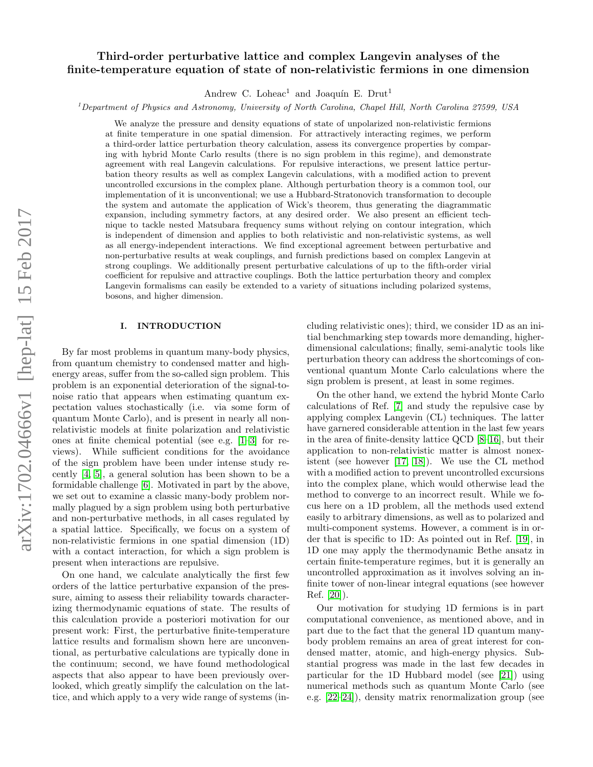# arXiv:1702.04666v1 [hep-lat] 15 Feb 2017 arXiv:1702.04666v1 [hep-lat] 15 Feb 2017

# Third-order perturbative lattice and complex Langevin analyses of the finite-temperature equation of state of non-relativistic fermions in one dimension

Andrew C. Loheac<sup>1</sup> and Joaquín E. Drut<sup>1</sup>

<sup>1</sup>Department of Physics and Astronomy, University of North Carolina, Chapel Hill, North Carolina 27599, USA

We analyze the pressure and density equations of state of unpolarized non-relativistic fermions at finite temperature in one spatial dimension. For attractively interacting regimes, we perform a third-order lattice perturbation theory calculation, assess its convergence properties by comparing with hybrid Monte Carlo results (there is no sign problem in this regime), and demonstrate agreement with real Langevin calculations. For repulsive interactions, we present lattice perturbation theory results as well as complex Langevin calculations, with a modified action to prevent uncontrolled excursions in the complex plane. Although perturbation theory is a common tool, our implementation of it is unconventional; we use a Hubbard-Stratonovich transformation to decouple the system and automate the application of Wick's theorem, thus generating the diagrammatic expansion, including symmetry factors, at any desired order. We also present an efficient technique to tackle nested Matsubara frequency sums without relying on contour integration, which is independent of dimension and applies to both relativistic and non-relativistic systems, as well as all energy-independent interactions. We find exceptional agreement between perturbative and non-perturbative results at weak couplings, and furnish predictions based on complex Langevin at strong couplings. We additionally present perturbative calculations of up to the fifth-order virial coefficient for repulsive and attractive couplings. Both the lattice perturbation theory and complex Langevin formalisms can easily be extended to a variety of situations including polarized systems, bosons, and higher dimension.

# I. INTRODUCTION

By far most problems in quantum many-body physics, from quantum chemistry to condensed matter and highenergy areas, suffer from the so-called sign problem. This problem is an exponential deterioration of the signal-tonoise ratio that appears when estimating quantum expectation values stochastically (i.e. via some form of quantum Monte Carlo), and is present in nearly all nonrelativistic models at finite polarization and relativistic ones at finite chemical potential (see e.g. [\[1–](#page-14-0)[3\]](#page-14-1) for reviews). While sufficient conditions for the avoidance of the sign problem have been under intense study recently [\[4,](#page-14-2) [5\]](#page-14-3), a general solution has been shown to be a formidable challenge [\[6\]](#page-14-4). Motivated in part by the above, we set out to examine a classic many-body problem normally plagued by a sign problem using both perturbative and non-perturbative methods, in all cases regulated by a spatial lattice. Specifically, we focus on a system of non-relativistic fermions in one spatial dimension (1D) with a contact interaction, for which a sign problem is present when interactions are repulsive.

On one hand, we calculate analytically the first few orders of the lattice perturbative expansion of the pressure, aiming to assess their reliability towards characterizing thermodynamic equations of state. The results of this calculation provide a posteriori motivation for our present work: First, the perturbative finite-temperature lattice results and formalism shown here are unconventional, as perturbative calculations are typically done in the continuum; second, we have found methodological aspects that also appear to have been previously overlooked, which greatly simplify the calculation on the lattice, and which apply to a very wide range of systems (including relativistic ones); third, we consider 1D as an initial benchmarking step towards more demanding, higherdimensional calculations; finally, semi-analytic tools like perturbation theory can address the shortcomings of conventional quantum Monte Carlo calculations where the sign problem is present, at least in some regimes.

On the other hand, we extend the hybrid Monte Carlo calculations of Ref. [\[7\]](#page-14-5) and study the repulsive case by applying complex Langevin (CL) techniques. The latter have garnered considerable attention in the last few years in the area of finite-density lattice QCD [\[8–](#page-14-6)[16\]](#page-15-0), but their application to non-relativistic matter is almost nonexistent (see however [\[17,](#page-15-1) [18\]](#page-15-2)). We use the CL method with a modified action to prevent uncontrolled excursions into the complex plane, which would otherwise lead the method to converge to an incorrect result. While we focus here on a 1D problem, all the methods used extend easily to arbitrary dimensions, as well as to polarized and multi-component systems. However, a comment is in order that is specific to 1D: As pointed out in Ref. [\[19\]](#page-15-3), in 1D one may apply the thermodynamic Bethe ansatz in certain finite-temperature regimes, but it is generally an uncontrolled approximation as it involves solving an infinite tower of non-linear integral equations (see however Ref. [\[20\]](#page-15-4)).

Our motivation for studying 1D fermions is in part computational convenience, as mentioned above, and in part due to the fact that the general 1D quantum manybody problem remains an area of great interest for condensed matter, atomic, and high-energy physics. Substantial progress was made in the last few decades in particular for the 1D Hubbard model (see [\[21\]](#page-15-5)) using numerical methods such as quantum Monte Carlo (see e.g. [\[22–](#page-15-6)[24\]](#page-15-7)), density matrix renormalization group (see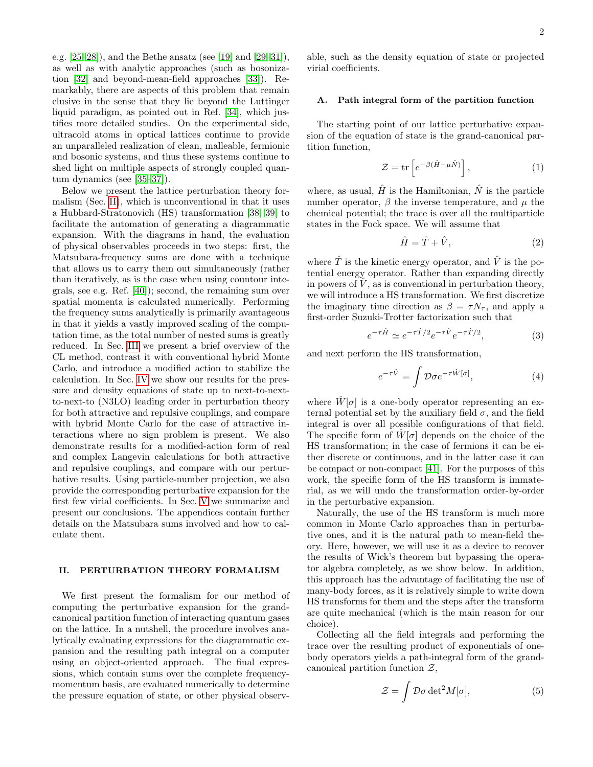e.g.  $[25-28]$  $[25-28]$ , and the Bethe ansatz (see [\[19\]](#page-15-3) and [29-[31\]](#page-15-11)), as well as with analytic approaches (such as bosonization [\[32\]](#page-15-12) and beyond-mean-field approaches [\[33\]](#page-15-13)). Remarkably, there are aspects of this problem that remain elusive in the sense that they lie beyond the Luttinger liquid paradigm, as pointed out in Ref. [\[34\]](#page-15-14), which justifies more detailed studies. On the experimental side, ultracold atoms in optical lattices continue to provide an unparalleled realization of clean, malleable, fermionic and bosonic systems, and thus these systems continue to shed light on multiple aspects of strongly coupled quantum dynamics (see [\[35–](#page-15-15)[37\]](#page-15-16)).

Below we present the lattice perturbation theory formalism (Sec. [II\)](#page-1-0), which is unconventional in that it uses a Hubbard-Stratonovich (HS) transformation [\[38,](#page-15-17) [39\]](#page-15-18) to facilitate the automation of generating a diagrammatic expansion. With the diagrams in hand, the evaluation of physical observables proceeds in two steps: first, the Matsubara-frequency sums are done with a technique that allows us to carry them out simultaneously (rather than iteratively, as is the case when using countour integrals, see e.g. Ref. [\[40\]](#page-15-19)); second, the remaining sum over spatial momenta is calculated numerically. Performing the frequency sums analytically is primarily avantageous in that it yields a vastly improved scaling of the computation time, as the total number of nested sums is greatly reduced. In Sec. [III](#page-5-0) we present a brief overview of the CL method, contrast it with conventional hybrid Monte Carlo, and introduce a modified action to stabilize the calculation. In Sec. [IV](#page-6-0) we show our results for the pressure and density equations of state up to next-to-nextto-next-to (N3LO) leading order in perturbation theory for both attractive and repulsive couplings, and compare with hybrid Monte Carlo for the case of attractive interactions where no sign problem is present. We also demonstrate results for a modified-action form of real and complex Langevin calculations for both attractive and repulsive couplings, and compare with our perturbative results. Using particle-number projection, we also provide the corresponding perturbative expansion for the first few virial coefficients. In Sec. [V](#page-11-0) we summarize and present our conclusions. The appendices contain further details on the Matsubara sums involved and how to calculate them.

# <span id="page-1-0"></span>II. PERTURBATION THEORY FORMALISM

We first present the formalism for our method of computing the perturbative expansion for the grandcanonical partition function of interacting quantum gases on the lattice. In a nutshell, the procedure involves analytically evaluating expressions for the diagrammatic expansion and the resulting path integral on a computer using an object-oriented approach. The final expressions, which contain sums over the complete frequencymomentum basis, are evaluated numerically to determine the pressure equation of state, or other physical observable, such as the density equation of state or projected virial coefficients.

# A. Path integral form of the partition function

The starting point of our lattice perturbative expansion of the equation of state is the grand-canonical partition function,

$$
\mathcal{Z} = \text{tr}\left[e^{-\beta(\hat{H} - \mu \hat{N})}\right],\tag{1}
$$

where, as usual,  $\hat{H}$  is the Hamiltonian,  $\hat{N}$  is the particle number operator,  $\beta$  the inverse temperature, and  $\mu$  the chemical potential; the trace is over all the multiparticle states in the Fock space. We will assume that

$$
\hat{H} = \hat{T} + \hat{V},\tag{2}
$$

where  $\hat{T}$  is the kinetic energy operator, and  $\hat{V}$  is the potential energy operator. Rather than expanding directly in powers of  $\hat{V}$ , as is conventional in perturbation theory, we will introduce a HS transformation. We first discretize the imaginary time direction as  $\beta = \tau N_{\tau}$ , and apply a first-order Suzuki-Trotter factorization such that

$$
e^{-\tau \hat{H}} \simeq e^{-\tau \hat{T}/2} e^{-\tau \hat{V}} e^{-\tau \hat{T}/2}, \tag{3}
$$

and next perform the HS transformation,

$$
e^{-\tau \hat{V}} = \int \mathcal{D} \sigma e^{-\tau \hat{W}[\sigma]}, \tag{4}
$$

where  $\hat{W}[\sigma]$  is a one-body operator representing an external potential set by the auxiliary field  $\sigma$ , and the field integral is over all possible configurations of that field. The specific form of  $W[\sigma]$  depends on the choice of the HS transformation; in the case of fermions it can be either discrete or continuous, and in the latter case it can be compact or non-compact [\[41\]](#page-15-20). For the purposes of this work, the specific form of the HS transform is immaterial, as we will undo the transformation order-by-order in the perturbative expansion.

Naturally, the use of the HS transform is much more common in Monte Carlo approaches than in perturbative ones, and it is the natural path to mean-field theory. Here, however, we will use it as a device to recover the results of Wick's theorem but bypassing the operator algebra completely, as we show below. In addition, this approach has the advantage of facilitating the use of many-body forces, as it is relatively simple to write down HS transforms for them and the steps after the transform are quite mechanical (which is the main reason for our choice).

Collecting all the field integrals and performing the trace over the resulting product of exponentials of onebody operators yields a path-integral form of the grandcanonical partition function  $Z$ ,

$$
\mathcal{Z} = \int \mathcal{D}\sigma \det^2 M[\sigma],\tag{5}
$$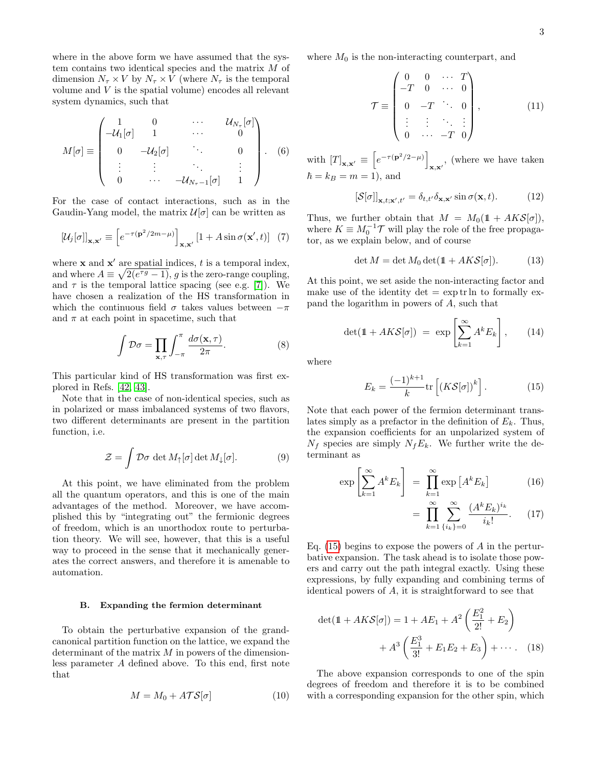where in the above form we have assumed that the system contains two identical species and the matrix M of dimension  $N_{\tau} \times V$  by  $N_{\tau} \times V$  (where  $N_{\tau}$  is the temporal volume and V is the spatial volume) encodes all relevant system dynamics, such that

$$
M[\sigma] \equiv \begin{pmatrix} 1 & 0 & \cdots & \mathcal{U}_{N_{\tau}}[\sigma] \\ -\mathcal{U}_{1}[\sigma] & 1 & \cdots & 0 \\ 0 & -\mathcal{U}_{2}[\sigma] & \ddots & 0 \\ \vdots & \vdots & \ddots & \vdots \\ 0 & \cdots & -\mathcal{U}_{N_{\tau}-1}[\sigma] & 1 \end{pmatrix} . \quad (6)
$$

For the case of contact interactions, such as in the Gaudin-Yang model, the matrix  $\mathcal{U}[\sigma]$  can be written as

$$
[\mathcal{U}_j[\sigma]]_{\mathbf{x},\mathbf{x}'} \equiv \left[e^{-\tau(\mathbf{p}^2/2m-\mu)}\right]_{\mathbf{x},\mathbf{x}'} [1 + A\sin\sigma(\mathbf{x}',t)] \tag{7}
$$

where  $\bf{x}$  and  $\bf{x}'$  are spatial indices, t is a temporal index, and where  $A \equiv \sqrt{2(e^{\tau g}-1)}$ , g is the zero-range coupling, and  $\tau$  is the temporal lattice spacing (see e.g. [\[7\]](#page-14-5)). We have chosen a realization of the HS transformation in which the continuous field  $\sigma$  takes values between  $-\pi$ and  $\pi$  at each point in spacetime, such that

$$
\int \mathcal{D}\sigma = \prod_{\mathbf{x},\tau} \int_{-\pi}^{\pi} \frac{d\sigma(\mathbf{x},\tau)}{2\pi}.
$$
 (8)

This particular kind of HS transformation was first explored in Refs. [\[42,](#page-15-21) [43\]](#page-15-22).

Note that in the case of non-identical species, such as in polarized or mass imbalanced systems of two flavors, two different determinants are present in the partition function, i.e.

$$
\mathcal{Z} = \int \mathcal{D}\sigma \, \det M_{\uparrow}[\sigma] \, \det M_{\downarrow}[\sigma]. \tag{9}
$$

At this point, we have eliminated from the problem all the quantum operators, and this is one of the main advantages of the method. Moreover, we have accomplished this by "integrating out" the fermionic degrees of freedom, which is an unorthodox route to perturbation theory. We will see, however, that this is a useful way to proceed in the sense that it mechanically generates the correct answers, and therefore it is amenable to automation.

# B. Expanding the fermion determinant

To obtain the perturbative expansion of the grandcanonical partition function on the lattice, we expand the determinant of the matrix  $M$  in powers of the dimensionless parameter A defined above. To this end, first note that

$$
M = M_0 + A\mathcal{T}\mathcal{S}[\sigma]
$$
 (10)

where  $M_0$  is the non-interacting counterpart, and

$$
\mathcal{T} = \begin{pmatrix}\n0 & 0 & \cdots & T \\
-T & 0 & \cdots & 0 \\
0 & -T & \ddots & 0 \\
\vdots & \vdots & \ddots & \vdots \\
0 & \cdots & -T & 0\n\end{pmatrix},\n\tag{11}
$$

with  $[T]_{\mathbf{x},\mathbf{x'}} \equiv \left[ e^{-\tau (\mathbf{p}^2/2-\mu)} \right]$  $\mathbf{x}, \mathbf{x}'$ , (where we have taken  $\hbar = k_B = m = 1$ , and

$$
\left[\mathcal{S}[\sigma]\right]_{\mathbf{x},t;\mathbf{x}',t'} = \delta_{t,t'}\delta_{\mathbf{x},\mathbf{x}'}\sin\sigma(\mathbf{x},t). \tag{12}
$$

Thus, we further obtain that  $M = M_0(1 + AKS[\sigma]),$ where  $K \equiv M_0^{-1} \mathcal{T}$  will play the role of the free propagator, as we explain below, and of course

$$
\det M = \det M_0 \det(\mathbb{1} + AKS[\sigma]). \tag{13}
$$

At this point, we set aside the non-interacting factor and make use of the identity  $\det = \exp \text{tr} \ln \text{ to formally ex-}$ pand the logarithm in powers of A, such that

$$
\det(\mathbb{1} + AK\mathcal{S}[\sigma]) = \exp\left[\sum_{k=1}^{\infty} A^k E_k\right],\qquad(14)
$$

where

<span id="page-2-0"></span>
$$
E_k = \frac{(-1)^{k+1}}{k} \text{tr}\left[ (K\mathcal{S}[\sigma])^k \right]. \tag{15}
$$

Note that each power of the fermion determinant translates simply as a prefactor in the definition of  $E_k$ . Thus, the expansion coefficients for an unpolarized system of  $N_f$  species are simply  $N_fE_k$ . We further write the determinant as

$$
\exp\left[\sum_{k=1}^{\infty} A^k E_k\right] = \prod_{k=1}^{\infty} \exp\left[A^k E_k\right] \tag{16}
$$

$$
= \prod_{k=1}^{\infty} \sum_{\{i_k\} = 0}^{\infty} \frac{(A^k E_k)^{i_k}}{i_k!}.
$$
 (17)

Eq. [\(15\)](#page-2-0) begins to expose the powers of A in the perturbative expansion. The task ahead is to isolate those powers and carry out the path integral exactly. Using these expressions, by fully expanding and combining terms of identical powers of A, it is straightforward to see that

$$
\det(\mathbb{1} + AK\mathcal{S}[\sigma]) = 1 + AE_1 + A^2 \left(\frac{E_1^2}{2!} + E_2\right) + A^3 \left(\frac{E_1^3}{3!} + E_1E_2 + E_3\right) + \cdots
$$
 (18)

The above expansion corresponds to one of the spin degrees of freedom and therefore it is to be combined with a corresponding expansion for the other spin, which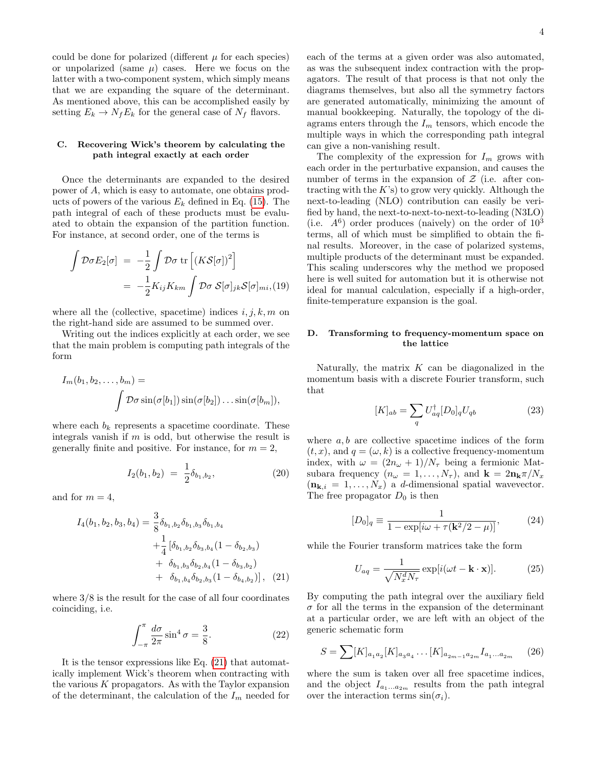could be done for polarized (different  $\mu$  for each species) or unpolarized (same  $\mu$ ) cases. Here we focus on the latter with a two-component system, which simply means that we are expanding the square of the determinant. As mentioned above, this can be accomplished easily by setting  $E_k \to N_f E_k$  for the general case of  $N_f$  flavors.

# C. Recovering Wick's theorem by calculating the path integral exactly at each order

Once the determinants are expanded to the desired power of A, which is easy to automate, one obtains products of powers of the various  $E_k$  defined in Eq. [\(15\)](#page-2-0). The path integral of each of these products must be evaluated to obtain the expansion of the partition function. For instance, at second order, one of the terms is

$$
\int \mathcal{D}\sigma E_2[\sigma] = -\frac{1}{2} \int \mathcal{D}\sigma \operatorname{tr} \left[ (K \mathcal{S}[\sigma])^2 \right]
$$

$$
= -\frac{1}{2} K_{ij} K_{km} \int \mathcal{D}\sigma \mathcal{S}[\sigma]_{jk} \mathcal{S}[\sigma]_{mi}, (19)
$$

where all the (collective, spacetime) indices  $i, j, k, m$  on the right-hand side are assumed to be summed over.

Writing out the indices explicitly at each order, we see that the main problem is computing path integrals of the form

$$
I_m(b_1, b_2, \dots, b_m) =
$$
  

$$
\int \mathcal{D}\sigma \sin(\sigma[b_1]) \sin(\sigma[b_2]) \dots \sin(\sigma[b_m]),
$$

where each  $b_k$  represents a spacetime coordinate. These integrals vanish if  $m$  is odd, but otherwise the result is generally finite and positive. For instance, for  $m = 2$ ,

$$
I_2(b_1, b_2) = \frac{1}{2} \delta_{b_1, b_2}, \tag{20}
$$

and for  $m = 4$ ,

<span id="page-3-0"></span>
$$
I_4(b_1, b_2, b_3, b_4) = \frac{3}{8} \delta_{b_1, b_2} \delta_{b_1, b_3} \delta_{b_1, b_4}
$$
  
+ 
$$
\frac{1}{4} [\delta_{b_1, b_2} \delta_{b_3, b_4} (1 - \delta_{b_2, b_3})
$$
  
+ 
$$
\delta_{b_1, b_3} \delta_{b_2, b_4} (1 - \delta_{b_3, b_2})
$$
  
+ 
$$
\delta_{b_1, b_4} \delta_{b_2, b_3} (1 - \delta_{b_4, b_2})], \quad (21)
$$

where 3/8 is the result for the case of all four coordinates coinciding, i.e.

$$
\int_{-\pi}^{\pi} \frac{d\sigma}{2\pi} \sin^4 \sigma = \frac{3}{8}.\tag{22}
$$

It is the tensor expressions like Eq. [\(21\)](#page-3-0) that automatically implement Wick's theorem when contracting with the various  $K$  propagators. As with the Taylor expansion of the determinant, the calculation of the  $I_m$  needed for each of the terms at a given order was also automated, as was the subsequent index contraction with the propagators. The result of that process is that not only the diagrams themselves, but also all the symmetry factors are generated automatically, minimizing the amount of manual bookkeeping. Naturally, the topology of the diagrams enters through the  $I_m$  tensors, which encode the multiple ways in which the corresponding path integral can give a non-vanishing result.

The complexity of the expression for  $I_m$  grows with each order in the perturbative expansion, and causes the number of terms in the expansion of  $\mathcal Z$  (i.e. after contracting with the  $K$ 's) to grow very quickly. Although the next-to-leading (NLO) contribution can easily be verified by hand, the next-to-next-to-next-to-leading (N3LO) (i.e.  $A^6$ ) order produces (naively) on the order of  $10^3$ terms, all of which must be simplified to obtain the final results. Moreover, in the case of polarized systems, multiple products of the determinant must be expanded. This scaling underscores why the method we proposed here is well suited for automation but it is otherwise not ideal for manual calculation, especially if a high-order, finite-temperature expansion is the goal.

# D. Transforming to frequency-momentum space on the lattice

Naturally, the matrix  $K$  can be diagonalized in the momentum basis with a discrete Fourier transform, such that

<span id="page-3-1"></span>
$$
[K]_{ab} = \sum_{q} U_{aq}^{\dagger} [D_0]_q U_{qb} \tag{23}
$$

where  $a, b$  are collective spacetime indices of the form  $(t, x)$ , and  $q = (\omega, k)$  is a collective frequency-momentum index, with  $\omega = (2n_{\omega} + 1)/N_{\tau}$  being a fermionic Matsubara frequency  $(n_{\omega} = 1, \ldots, N_{\tau})$ , and  $\mathbf{k} = 2\mathbf{n}_{\mathbf{k}}\pi/N_x$  $(n_{k,i} = 1, \ldots, N_x)$  a d-dimensional spatial wavevector. The free propagator  $D_0$  is then

$$
[D_0]_q \equiv \frac{1}{1 - \exp[i\omega + \tau(\mathbf{k}^2/2 - \mu)]},
$$
 (24)

while the Fourier transform matrices take the form

$$
U_{aq} = \frac{1}{\sqrt{N_x^d N_\tau}} \exp[i(\omega t - \mathbf{k} \cdot \mathbf{x})]. \tag{25}
$$

By computing the path integral over the auxiliary field  $\sigma$  for all the terms in the expansion of the determinant at a particular order, we are left with an object of the generic schematic form

$$
S = \sum [K]_{a_1 a_2} [K]_{a_3 a_4} \dots [K]_{a_{2m-1} a_{2m}} I_{a_1 \dots a_{2m}}
$$
 (26)

where the sum is taken over all free spacetime indices, and the object  $I_{a_1...a_{2m}}$  results from the path integral over the interaction terms  $sin(\sigma_i)$ .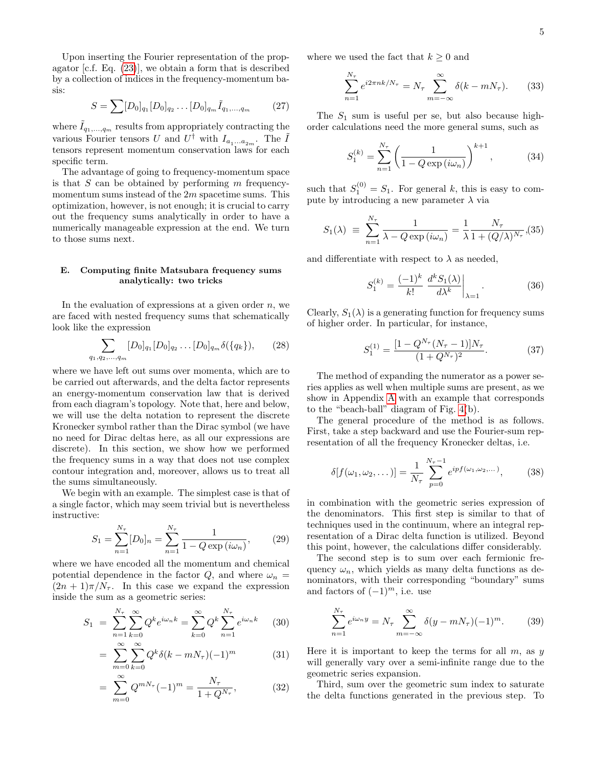Upon inserting the Fourier representation of the propagator [c.f. Eq. [\(23\)](#page-3-1)], we obtain a form that is described by a collection of indices in the frequency-momentum basis:

$$
S = \sum [D_0]_{q_1} [D_0]_{q_2} \dots [D_0]_{q_m} \tilde{I}_{q_1, \dots, q_m} \tag{27}
$$

where  $\tilde{I}_{q_1,...,q_m}$  results from appropriately contracting the various Fourier tensors U and  $U^{\dagger}$  with  $I_{a_1...a_{2m}}$ . The  $\tilde{I}$ tensors represent momentum conservation laws for each specific term.

The advantage of going to frequency-momentum space is that  $S$  can be obtained by performing  $m$  frequencymomentum sums instead of the 2m spacetime sums. This optimization, however, is not enough; it is crucial to carry out the frequency sums analytically in order to have a numerically manageable expression at the end. We turn to those sums next.

# <span id="page-4-0"></span>E. Computing finite Matsubara frequency sums analytically: two tricks

In the evaluation of expressions at a given order  $n$ , we are faced with nested frequency sums that schematically look like the expression

$$
\sum_{q_1, q_2, \dots, q_m} [D_0]_{q_1} [D_0]_{q_2} \dots [D_0]_{q_m} \delta(\{q_k\}), \qquad (28)
$$

where we have left out sums over momenta, which are to be carried out afterwards, and the delta factor represents an energy-momentum conservation law that is derived from each diagram's topology. Note that, here and below, we will use the delta notation to represent the discrete Kronecker symbol rather than the Dirac symbol (we have no need for Dirac deltas here, as all our expressions are discrete). In this section, we show how we performed the frequency sums in a way that does not use complex contour integration and, moreover, allows us to treat all the sums simultaneously.

We begin with an example. The simplest case is that of a single factor, which may seem trivial but is nevertheless instructive:

$$
S_1 = \sum_{n=1}^{N_{\tau}} [D_0]_n = \sum_{n=1}^{N_{\tau}} \frac{1}{1 - Q \exp(i\omega_n)},
$$
 (29)

where we have encoded all the momentum and chemical potential dependence in the factor Q, and where  $\omega_n =$  $(2n + 1)\pi/N_{\tau}$ . In this case we expand the expression inside the sum as a geometric series:

<span id="page-4-1"></span>
$$
S_1 = \sum_{n=1}^{N_{\tau}} \sum_{k=0}^{\infty} Q^k e^{i\omega_n k} = \sum_{k=0}^{\infty} Q^k \sum_{n=1}^{N_{\tau}} e^{i\omega_n k} \qquad (30)
$$

$$
= \sum_{m=0}^{\infty} \sum_{k=0}^{\infty} Q^k \delta(k - mN_\tau)(-1)^m \tag{31}
$$

$$
= \sum_{m=0}^{\infty} Q^{mN_{\tau}} (-1)^m = \frac{N_{\tau}}{1 + Q^{N_{\tau}}}, \tag{32}
$$

where we used the fact that  $k \geq 0$  and

$$
\sum_{n=1}^{N_{\tau}} e^{i2\pi nk/N_{\tau}} = N_{\tau} \sum_{m=-\infty}^{\infty} \delta(k - mN_{\tau}). \tag{33}
$$

The  $S_1$  sum is useful per se, but also because highorder calculations need the more general sums, such as

$$
S_1^{(k)} = \sum_{n=1}^{N_{\tau}} \left( \frac{1}{1 - Q \exp(i\omega_n)} \right)^{k+1}, \quad (34)
$$

such that  $S_1^{(0)} = S_1$ . For general k, this is easy to compute by introducing a new parameter  $\lambda$  via

<span id="page-4-3"></span>
$$
S_1(\lambda) \equiv \sum_{n=1}^{N_{\tau}} \frac{1}{\lambda - Q \exp(i\omega_n)} = \frac{1}{\lambda} \frac{N_{\tau}}{1 + (Q/\lambda)^{N_{\tau}}},
$$
(35)

and differentiate with respect to  $\lambda$  as needed,

$$
S_1^{(k)} = \frac{(-1)^k}{k!} \left. \frac{d^k S_1(\lambda)}{d\lambda^k} \right|_{\lambda = 1}.
$$
 (36)

Clearly,  $S_1(\lambda)$  is a generating function for frequency sums of higher order. In particular, for instance,

<span id="page-4-2"></span>
$$
S_1^{(1)} = \frac{[1 - Q^{N_\tau}(N_\tau - 1)]N_\tau}{(1 + Q^{N_\tau})^2}.
$$
 (37)

The method of expanding the numerator as a power series applies as well when multiple sums are present, as we show in Appendix [A](#page-12-0) with an example that corresponds to the "beach-ball" diagram of Fig. [4\(](#page-7-0)b).

The general procedure of the method is as follows. First, take a step backward and use the Fourier-sum representation of all the frequency Kronecker deltas, i.e.

$$
\delta[f(\omega_1, \omega_2, \dots)] = \frac{1}{N_{\tau}} \sum_{p=0}^{N_{\tau}-1} e^{ipf(\omega_1, \omega_2, \dots)},
$$
 (38)

in combination with the geometric series expression of the denominators. This first step is similar to that of techniques used in the continuum, where an integral representation of a Dirac delta function is utilized. Beyond this point, however, the calculations differ considerably.

The second step is to sum over each fermionic frequency  $\omega_n$ , which yields as many delta functions as denominators, with their corresponding "boundary" sums and factors of  $(-1)^m$ , i.e. use

$$
\sum_{n=1}^{N_{\tau}} e^{i\omega_n y} = N_{\tau} \sum_{m=-\infty}^{\infty} \delta(y - mN_{\tau})(-1)^m.
$$
 (39)

Here it is important to keep the terms for all  $m$ , as  $y$ will generally vary over a semi-infinite range due to the geometric series expansion.

Third, sum over the geometric sum index to saturate the delta functions generated in the previous step. To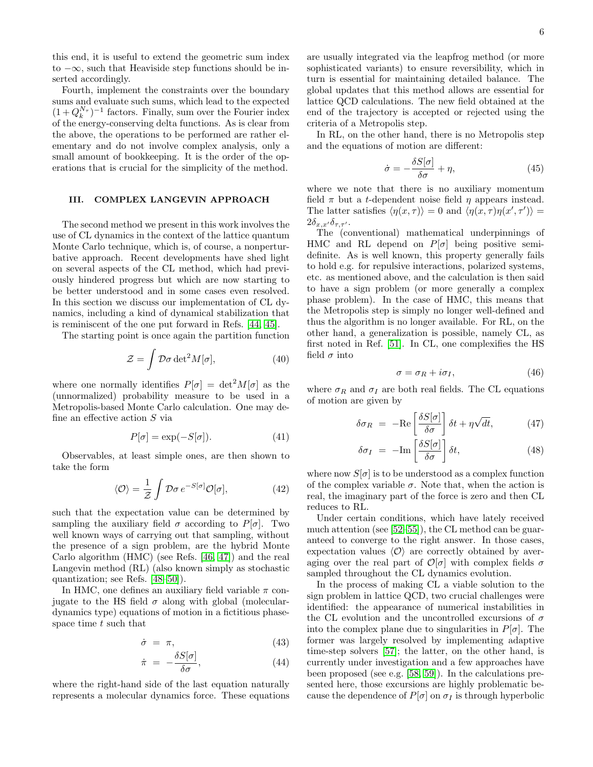this end, it is useful to extend the geometric sum index to  $-\infty$ , such that Heaviside step functions should be inserted accordingly.

Fourth, implement the constraints over the boundary sums and evaluate such sums, which lead to the expected  $(1+Q_k^{N_{\tau}})^{-1}$  factors. Finally, sum over the Fourier index of the energy-conserving delta functions. As is clear from the above, the operations to be performed are rather elementary and do not involve complex analysis, only a small amount of bookkeeping. It is the order of the operations that is crucial for the simplicity of the method.

# <span id="page-5-0"></span>III. COMPLEX LANGEVIN APPROACH

The second method we present in this work involves the use of CL dynamics in the context of the lattice quantum Monte Carlo technique, which is, of course, a nonperturbative approach. Recent developments have shed light on several aspects of the CL method, which had previously hindered progress but which are now starting to be better understood and in some cases even resolved. In this section we discuss our implementation of CL dynamics, including a kind of dynamical stabilization that is reminiscent of the one put forward in Refs. [\[44,](#page-15-23) [45\]](#page-15-24).

The starting point is once again the partition function

$$
\mathcal{Z} = \int \mathcal{D}\sigma \det^2 M[\sigma],\tag{40}
$$

where one normally identifies  $P[\sigma] = det^2 M[\sigma]$  as the (unnormalized) probability measure to be used in a Metropolis-based Monte Carlo calculation. One may define an effective action S via

$$
P[\sigma] = \exp(-S[\sigma]). \tag{41}
$$

Observables, at least simple ones, are then shown to take the form

$$
\langle \mathcal{O} \rangle = \frac{1}{\mathcal{Z}} \int \mathcal{D}\sigma \, e^{-S[\sigma]} \mathcal{O}[\sigma], \tag{42}
$$

such that the expectation value can be determined by sampling the auxiliary field  $\sigma$  according to P[ $\sigma$ ]. Two well known ways of carrying out that sampling, without the presence of a sign problem, are the hybrid Monte Carlo algorithm (HMC) (see Refs. [\[46,](#page-15-25) [47\]](#page-15-26)) and the real Langevin method (RL) (also known simply as stochastic quantization; see Refs. [\[48–](#page-15-27)[50\]](#page-15-28)).

In HMC, one defines an auxiliary field variable  $\pi$  conjugate to the HS field  $\sigma$  along with global (moleculardynamics type) equations of motion in a fictitious phasespace time  $t$  such that

$$
\dot{\sigma} = \pi,\tag{43}
$$

$$
\dot{\pi} = -\frac{\delta S[\sigma]}{\delta \sigma},\tag{44}
$$

where the right-hand side of the last equation naturally represents a molecular dynamics force. These equations are usually integrated via the leapfrog method (or more sophisticated variants) to ensure reversibility, which in turn is essential for maintaining detailed balance. The global updates that this method allows are essential for lattice QCD calculations. The new field obtained at the end of the trajectory is accepted or rejected using the criteria of a Metropolis step.

In RL, on the other hand, there is no Metropolis step and the equations of motion are different:

$$
\dot{\sigma} = -\frac{\delta S[\sigma]}{\delta \sigma} + \eta,\tag{45}
$$

where we note that there is no auxiliary momentum field  $\pi$  but a *t*-dependent noise field  $\eta$  appears instead. The latter satisfies  $\langle \eta(x,\tau) \rangle = 0$  and  $\langle \eta(x,\tau) \eta(x',\tau') \rangle =$  $2\delta_{x,x'}\delta_{\tau,\tau'}$ .

The (conventional) mathematical underpinnings of HMC and RL depend on  $P[\sigma]$  being positive semidefinite. As is well known, this property generally fails to hold e.g. for repulsive interactions, polarized systems, etc. as mentioned above, and the calculation is then said to have a sign problem (or more generally a complex phase problem). In the case of HMC, this means that the Metropolis step is simply no longer well-defined and thus the algorithm is no longer available. For RL, on the other hand, a generalization is possible, namely CL, as first noted in Ref. [\[51\]](#page-15-29). In CL, one complexifies the HS field  $\sigma$  into

$$
\sigma = \sigma_R + i\sigma_I, \tag{46}
$$

where  $\sigma_R$  and  $\sigma_I$  are both real fields. The CL equations of motion are given by

$$
\delta \sigma_R = -\text{Re}\left[\frac{\delta S[\sigma]}{\delta \sigma}\right] \delta t + \eta \sqrt{dt},\tag{47}
$$

$$
\delta \sigma_I = -\text{Im}\left[\frac{\delta S[\sigma]}{\delta \sigma}\right] \delta t, \tag{48}
$$

where now  $S[\sigma]$  is to be understood as a complex function of the complex variable  $\sigma$ . Note that, when the action is real, the imaginary part of the force is zero and then CL reduces to RL.

Under certain conditions, which have lately received much attention (see [\[52–](#page-15-30)[55\]](#page-15-31)), the CL method can be guaranteed to converge to the right answer. In those cases, expectation values  $\langle \mathcal{O} \rangle$  are correctly obtained by averaging over the real part of  $\mathcal{O}[\sigma]$  with complex fields  $\sigma$ sampled throughout the CL dynamics evolution.

In the process of making CL a viable solution to the sign problem in lattice QCD, two crucial challenges were identified: the appearance of numerical instabilities in the CL evolution and the uncontrolled excursions of  $\sigma$ into the complex plane due to singularities in  $P[\sigma]$ . The former was largely resolved by implementing adaptive time-step solvers [\[57\]](#page-15-32); the latter, on the other hand, is currently under investigation and a few approaches have been proposed (see e.g. [\[58,](#page-16-0) [59\]](#page-16-1)). In the calculations presented here, those excursions are highly problematic because the dependence of  $P[\sigma]$  on  $\sigma_I$  is through hyperbolic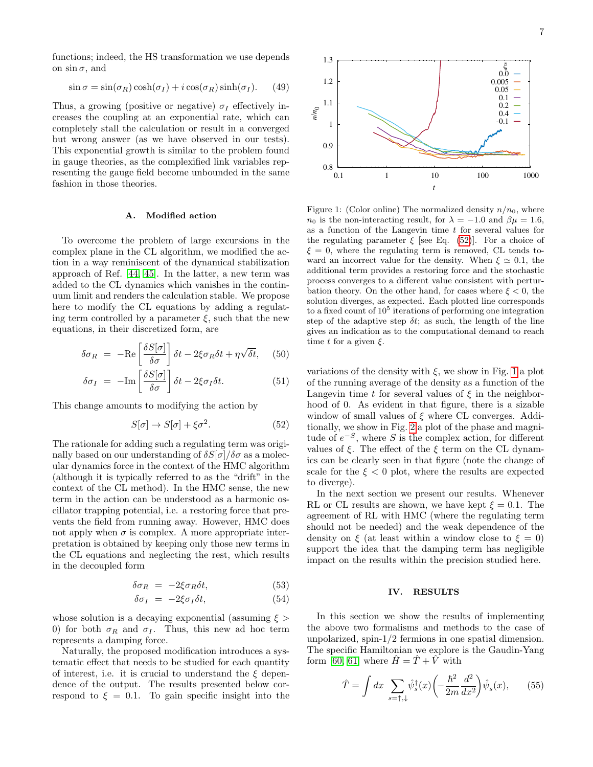functions; indeed, the HS transformation we use depends on  $\sin \sigma$ , and

$$
\sin \sigma = \sin(\sigma_R) \cosh(\sigma_I) + i \cos(\sigma_R) \sinh(\sigma_I). \tag{49}
$$

Thus, a growing (positive or negative)  $\sigma_I$  effectively increases the coupling at an exponential rate, which can completely stall the calculation or result in a converged but wrong answer (as we have observed in our tests). This exponential growth is similar to the problem found in gauge theories, as the complexified link variables representing the gauge field become unbounded in the same fashion in those theories.

#### A. Modified action

To overcome the problem of large excursions in the complex plane in the CL algorithm, we modified the action in a way reminiscent of the dynamical stabilization approach of Ref. [\[44,](#page-15-23) [45\]](#page-15-24). In the latter, a new term was added to the CL dynamics which vanishes in the continuum limit and renders the calculation stable. We propose here to modify the CL equations by adding a regulating term controlled by a parameter  $\xi$ , such that the new equations, in their discretized form, are

$$
\delta \sigma_R = -\text{Re}\left[\frac{\delta S[\sigma]}{\delta \sigma}\right] \delta t - 2\xi \sigma_R \delta t + \eta \sqrt{\delta t}, \quad (50)
$$

$$
\delta \sigma_I = -\mathrm{Im} \left[ \frac{\delta S[\sigma]}{\delta \sigma} \right] \delta t - 2\xi \sigma_I \delta t. \tag{51}
$$

This change amounts to modifying the action by

<span id="page-6-1"></span>
$$
S[\sigma] \to S[\sigma] + \xi \sigma^2. \tag{52}
$$

The rationale for adding such a regulating term was originally based on our understanding of  $\delta S[\sigma]/\delta \sigma$  as a molecular dynamics force in the context of the HMC algorithm (although it is typically referred to as the "drift" in the context of the CL method). In the HMC sense, the new term in the action can be understood as a harmonic oscillator trapping potential, i.e. a restoring force that prevents the field from running away. However, HMC does not apply when  $\sigma$  is complex. A more appropriate interpretation is obtained by keeping only those new terms in the CL equations and neglecting the rest, which results in the decoupled form

$$
\delta \sigma_R = -2\xi \sigma_R \delta t,\tag{53}
$$

$$
\delta \sigma_I = -2\xi \sigma_I \delta t, \tag{54}
$$

whose solution is a decaying exponential (assuming  $\xi >$ 0) for both  $\sigma_R$  and  $\sigma_I$ . Thus, this new ad hoc term represents a damping force.

Naturally, the proposed modification introduces a systematic effect that needs to be studied for each quantity of interest, i.e. it is crucial to understand the  $\xi$  dependence of the output. The results presented below correspond to  $\xi = 0.1$ . To gain specific insight into the



<span id="page-6-2"></span>Figure 1: (Color online) The normalized density  $n/n_0$ , where  $n_0$  is the non-interacting result, for  $\lambda = -1.0$  and  $\beta \mu = 1.6$ , as a function of the Langevin time  $t$  for several values for the regulating parameter  $\xi$  [see Eq. [\(52\)](#page-6-1)]. For a choice of  $\xi = 0$ , where the regulating term is removed, CL tends toward an incorrect value for the density. When  $\xi \simeq 0.1$ , the additional term provides a restoring force and the stochastic process converges to a different value consistent with perturbation theory. On the other hand, for cases where  $\xi < 0$ , the solution diverges, as expected. Each plotted line corresponds to a fixed count of  $10^5$  iterations of performing one integration step of the adaptive step  $\delta t$ ; as such, the length of the line gives an indication as to the computational demand to reach time t for a given  $\xi$ .

variations of the density with  $\xi$ , we show in Fig. [1](#page-6-2) a plot of the running average of the density as a function of the Langevin time t for several values of  $\xi$  in the neighborhood of 0. As evident in that figure, there is a sizable window of small values of  $\xi$  where CL converges. Additionally, we show in Fig. [2](#page-7-1) a plot of the phase and magnitude of  $e^{-S}$ , where S is the complex action, for different values of  $\xi$ . The effect of the  $\xi$  term on the CL dynamics can be clearly seen in that figure (note the change of scale for the  $\xi < 0$  plot, where the results are expected to diverge).

In the next section we present our results. Whenever RL or CL results are shown, we have kept  $\xi = 0.1$ . The agreement of RL with HMC (where the regulating term should not be needed) and the weak dependence of the density on  $\xi$  (at least within a window close to  $\xi = 0$ ) support the idea that the damping term has negligible impact on the results within the precision studied here.

# <span id="page-6-0"></span>IV. RESULTS

In this section we show the results of implementing the above two formalisms and methods to the case of unpolarized, spin-1/2 fermions in one spatial dimension. The specific Hamiltonian we explore is the Gaudin-Yang form [\[60,](#page-16-2) [61\]](#page-16-3) where  $\hat{H} = \hat{T} + \hat{V}$  with

$$
\hat{T} = \int dx \sum_{s=\uparrow,\downarrow} \hat{\psi}_s^{\dagger}(x) \left( -\frac{\hbar^2}{2m} \frac{d^2}{dx^2} \right) \hat{\psi}_s(x), \qquad (55)
$$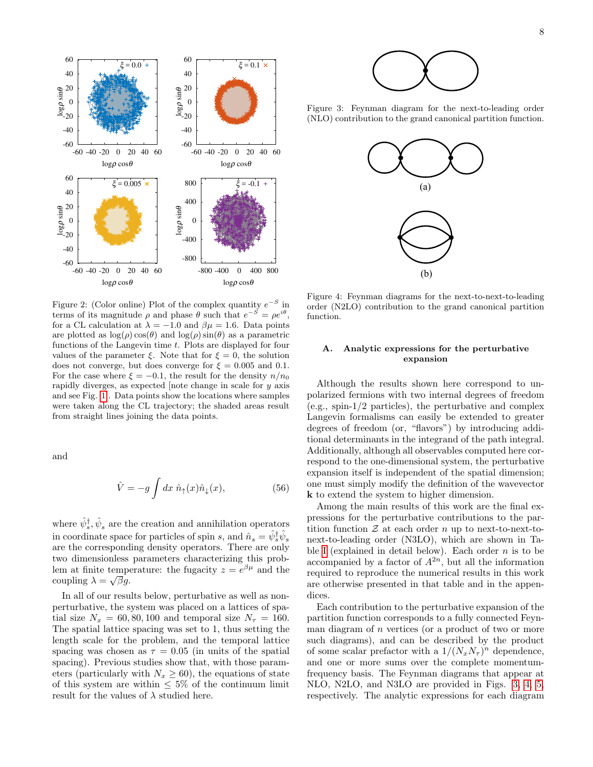

<span id="page-7-1"></span>Figure 2: (Color online) Plot of the complex quantity  $e^{-S}$  in terms of its magnitude  $\rho$  and phase  $\theta$  such that  $e^{-\tilde{S}} = \rho e^{i\theta}$ , for a CL calculation at  $\lambda = -1.0$  and  $\beta \mu = 1.6$ . Data points are plotted as  $\log(\rho)\cos(\theta)$  and  $\log(\rho)\sin(\theta)$  as a parametric functions of the Langevin time  $t$ . Plots are displayed for four values of the parameter  $\xi$ . Note that for  $\xi = 0$ , the solution does not converge, but does converge for  $\xi = 0.005$  and 0.1. For the case where  $\xi = -0.1$ , the result for the density  $n/n_0$ rapidly diverges, as expected [note change in scale for y axis and see Fig. [1\]](#page-6-2). Data points show the locations where samples were taken along the CL trajectory; the shaded areas result from straight lines joining the data points.

and

$$
\hat{V} = -g \int dx \ \hat{n}_{\uparrow}(x)\hat{n}_{\downarrow}(x),\tag{56}
$$

where  $\hat{\psi}_s^{\dagger}, \hat{\psi}_s$  are the creation and annihilation operators in coordinate space for particles of spin  $s$ , and  $\hat{n}_s = \hat{\psi}_s^{\dagger} \hat{\psi}_s$ are the corresponding density operators. There are only two dimensionless parameters characterizing this problem at finite temperature: the fugacity  $z = e^{\beta \mu}$  and the coupling  $\lambda = \sqrt{\beta}g$ .

In all of our results below, perturbative as well as nonperturbative, the system was placed on a lattices of spatial size  $N_x = 60, 80, 100$  and temporal size  $N_\tau = 160$ . The spatial lattice spacing was set to 1, thus setting the length scale for the problem, and the temporal lattice spacing was chosen as  $\tau = 0.05$  (in units of the spatial spacing). Previous studies show that, with those parameters (particularly with  $N_x \geq 60$ ), the equations of state of this system are within  $\leq 5\%$  of the continuum limit result for the values of  $\lambda$  studied here.



Figure 3: Feynman diagram for the next-to-leading order (NLO) contribution to the grand canonical partition function.

<span id="page-7-2"></span>

<span id="page-7-0"></span>Figure 4: Feynman diagrams for the next-to-next-to-leading order (N2LO) contribution to the grand canonical partition function.

# A. Analytic expressions for the perturbative expansion

Although the results shown here correspond to unpolarized fermions with two internal degrees of freedom (e.g., spin-1/2 particles), the perturbative and complex Langevin formalisms can easily be extended to greater degrees of freedom (or, "flavors") by introducing additional determinants in the integrand of the path integral. Additionally, although all observables computed here correspond to the one-dimensional system, the perturbative expansion itself is independent of the spatial dimension; one must simply modify the definition of the wavevector k to extend the system to higher dimension.

Among the main results of this work are the final expressions for the perturbative contributions to the partition function  $\mathcal Z$  at each order n up to next-to-next-tonext-to-leading order (N3LO), which are shown in Ta-ble [I](#page-9-0) (explained in detail below). Each order  $n$  is to be accompanied by a factor of  $A^{2n}$ , but all the information required to reproduce the numerical results in this work are otherwise presented in that table and in the appendices.

Each contribution to the perturbative expansion of the partition function corresponds to a fully connected Feynman diagram of  $n$  vertices (or a product of two or more such diagrams), and can be described by the product of some scalar prefactor with a  $1/(N_xN_\tau)^n$  dependence, and one or more sums over the complete momentumfrequency basis. The Feynman diagrams that appear at NLO, N2LO, and N3LO are provided in Figs. [3,](#page-7-2) [4,](#page-7-0) [5,](#page-8-0) respectively. The analytic expressions for each diagram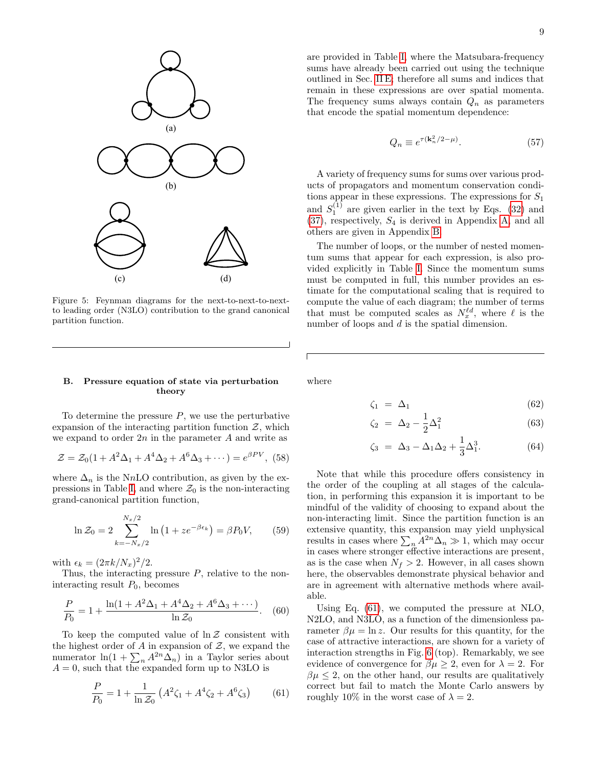

<span id="page-8-0"></span>Figure 5: Feynman diagrams for the next-to-next-to-nextto leading order (N3LO) contribution to the grand canonical partition function.

#### B. Pressure equation of state via perturbation theory

To determine the pressure  $P$ , we use the perturbative expansion of the interacting partition function  $\mathcal{Z}$ , which we expand to order  $2n$  in the parameter  $A$  and write as

$$
\mathcal{Z} = \mathcal{Z}_0(1 + A^2 \Delta_1 + A^4 \Delta_2 + A^6 \Delta_3 + \cdots) = e^{\beta PV}, \tag{58}
$$

where  $\Delta_n$  is the NnLO contribution, as given by the ex-pressions in Table [I,](#page-9-0) and where  $\mathcal{Z}_0$  is the non-interacting grand-canonical partition function,

$$
\ln \mathcal{Z}_0 = 2 \sum_{k=-N_x/2}^{N_x/2} \ln (1 + z e^{-\beta \epsilon_k}) = \beta P_0 V,\qquad (59)
$$

with  $\epsilon_k = (2\pi k/N_x)^2/2$ .

Thus, the interacting pressure  $P$ , relative to the noninteracting result  $P_0$ , becomes

$$
\frac{P}{P_0} = 1 + \frac{\ln(1 + A^2 \Delta_1 + A^4 \Delta_2 + A^6 \Delta_3 + \cdots)}{\ln \mathcal{Z}_0}.
$$
 (60)

To keep the computed value of  $\ln \mathcal{Z}$  consistent with the highest order of A in expansion of  $\mathcal{Z}$ , we expand the numerator  $ln(1 + \sum_n A^{2n} \Delta_n)$  in a Taylor series about  $A = 0$ , such that the expanded form up to N3LO is

<span id="page-8-1"></span>
$$
\frac{P}{P_0} = 1 + \frac{1}{\ln \mathcal{Z}_0} \left( A^2 \zeta_1 + A^4 \zeta_2 + A^6 \zeta_3 \right) \tag{61}
$$

are provided in Table [I,](#page-9-0) where the Matsubara-frequency sums have already been carried out using the technique outlined in Sec. [II E;](#page-4-0) therefore all sums and indices that remain in these expressions are over spatial momenta. The frequency sums always contain  $Q_n$  as parameters that encode the spatial momentum dependence:

$$
Q_n \equiv e^{\tau (\mathbf{k}_n^2/2 - \mu)}.
$$
 (57)

A variety of frequency sums for sums over various products of propagators and momentum conservation conditions appear in these expressions. The expressions for  $S_1$ and  $S_1^{(1)}$  are given earlier in the text by Eqs. [\(32\)](#page-4-1) and  $(37)$ , respectively,  $S_4$  is derived in Appendix [A,](#page-12-0) and all others are given in Appendix [B.](#page-13-0)

The number of loops, or the number of nested momentum sums that appear for each expression, is also provided explicitly in Table [I.](#page-9-0) Since the momentum sums must be computed in full, this number provides an estimate for the computational scaling that is required to compute the value of each diagram; the number of terms that must be computed scales as  $N_x^{\ell d}$ , where  $\ell$  is the number of loops and d is the spatial dimension.

where

$$
\zeta_1 = \Delta_1 \tag{62}
$$

$$
\zeta_2 = \Delta_2 - \frac{1}{2}\Delta_1^2 \tag{63}
$$

$$
\zeta_3 = \Delta_3 - \Delta_1 \Delta_2 + \frac{1}{3} \Delta_1^3. \tag{64}
$$

Note that while this procedure offers consistency in the order of the coupling at all stages of the calculation, in performing this expansion it is important to be mindful of the validity of choosing to expand about the non-interacting limit. Since the partition function is an extensive quantity, this expansion may yield unphysical results in cases where  $\sum_n A^{2n} \Delta_n \gg 1$ , which may occur in cases where stronger effective interactions are present, as is the case when  $N_f > 2$ . However, in all cases shown here, the observables demonstrate physical behavior and are in agreement with alternative methods where available.

Using Eq. [\(61\)](#page-8-1), we computed the pressure at NLO, N2LO, and N3LO, as a function of the dimensionless parameter  $\beta \mu = \ln z$ . Our results for this quantity, for the case of attractive interactions, are shown for a variety of interaction strengths in Fig. [6](#page-10-0) (top). Remarkably, we see evidence of convergence for  $\beta \mu \geq 2$ , even for  $\lambda = 2$ . For  $\beta\mu \leq 2$ , on the other hand, our results are qualitatively correct but fail to match the Monte Carlo answers by roughly 10% in the worst case of  $\lambda = 2$ .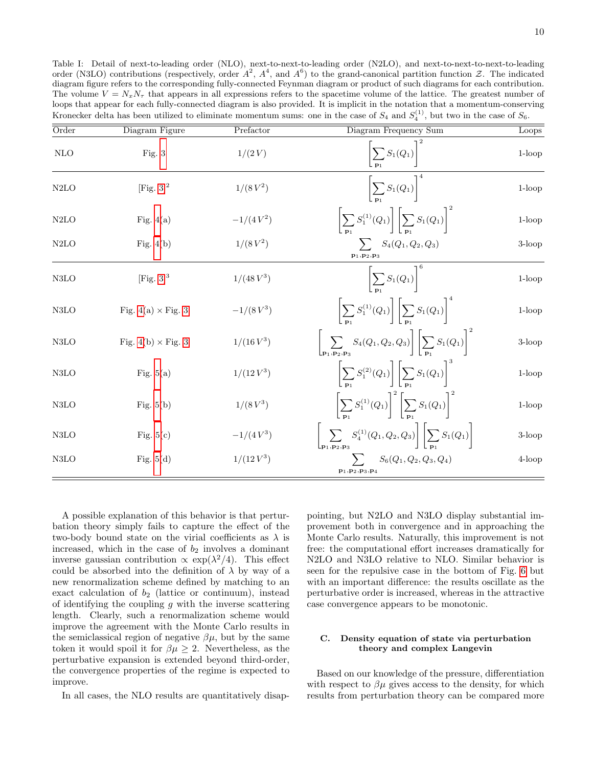<span id="page-9-0"></span>Table I: Detail of next-to-leading order (NLO), next-to-next-to-leading order (N2LO), and next-to-next-to-next-to-leading order (N3LO) contributions (respectively, order  $A^2$ ,  $A^4$ , and  $A^6$ ) to the grand-canonical partition function  $Z$ . The indicated diagram figure refers to the corresponding fully-connected Feynman diagram or product of such diagrams for each contribution. The volume  $V = N_x N_\tau$  that appears in all expressions refers to the spacetime volume of the lattice. The greatest number of loops that appear for each fully-connected diagram is also provided. It is implicit in the notation that a momentum-conserving Kronecker delta has been utilized to eliminate momentum sums: one in the case of  $S_4$  and  $S_4^{(1)}$ , but two in the case of  $S_6$ .

| Order             | Diagram Figure            | Prefactor    | Diagram Frequency Sum                                                                                                           | Loops     |
|-------------------|---------------------------|--------------|---------------------------------------------------------------------------------------------------------------------------------|-----------|
| <b>NLO</b>        | Fig. $3$                  | 1/(2 V)      | $\left \sum S_1(Q_1)\right $                                                                                                    | $1$ -loop |
| N2LO              | [Fig. $3$ ] <sup>2</sup>  | $1/(8V^2)$   | $\left \sum S_1(Q_1)\right ^4$                                                                                                  | $1-loop$  |
| N2LO              | Fig. $4(a)$               | $-1/(4V^2)$  | $\left \sum S_1^{(1)}(Q_1)\right \ \left \sum S_1(Q_1)\right ^2$                                                                | $1$ -loop |
| N2LO              | Fig. $4(b)$               | $1/(8V^2)$   | $\sum S_4(Q_1,Q_2,Q_3)$<br>$\mathbf{p}_1,\mathbf{p}_2,\mathbf{p}_3$                                                             | $3$ -loop |
| N3LO              | [Fig. $3^3$ ]             | $1/(48 V^3)$ | $\left[\sum_{i=1}^{n} S_1(Q_1)\right]^6$                                                                                        | $1$ -loop |
| N3LO              | Fig. $4(a) \times Fig. 3$ | $-1/(8V^3)$  | $\left \sum_{i} S_1^{(1)}(Q_1)\right  \left \sum_{i} S_1(Q_1)\right ^{-1}$                                                      | $1$ -loop |
| N3LO              | Fig. 4(b) $\times$ Fig. 3 | $1/(16V^3)$  | $\left[\sum_{\mathbf{p}_1, \mathbf{p}_2, \mathbf{p}_3} S_4(Q_1, Q_2, Q_3)\right] \left[\sum_{\mathbf{p}_1} S_1(Q_1)\right]^2$   | $3$ -loop |
| N3LO              | Fig. $5(a)$               | $1/(12V^3)$  | $\left \sum S_1^{(2)}(Q_1)\right \left \sum S_1(Q_1)\right ^3$                                                                  | $1$ -loop |
| N <sub>3</sub> LO | Fig. $5(b)$               | $1/(8V^3)$   | $\left \sum S_1^{(1)}(Q_1)\right ^2\left \sum S_1(Q_1)\right ^2$                                                                | $1$ -loop |
| N3LO              | Fig. $5(c)$               | $-1/(4V^3)$  | $\sum\limits_{i=1}^N\left S_4^{(1)}(Q_1,Q_2,Q_3)\right \left \sum S_1(Q_1)\right $<br>$\mathsf{Lp}_1,\mathsf{p}_2,\mathsf{p}_3$ | $3$ -loop |
| N3LO              | Fig. $5(d)$               | $1/(12 V^3)$ | $\sum S_6(Q_1,Q_2,Q_3,Q_4)$<br>${\bf p}_1, {\bf p}_2, {\bf p}_3, {\bf p}_4$                                                     | 4-loop    |

A possible explanation of this behavior is that perturbation theory simply fails to capture the effect of the two-body bound state on the virial coefficients as  $\lambda$  is increased, which in the case of  $b_2$  involves a dominant inverse gaussian contribution  $\propto \exp(\lambda^2/4)$ . This effect could be absorbed into the definition of  $\lambda$  by way of a new renormalization scheme defined by matching to an exact calculation of  $b_2$  (lattice or continuum), instead of identifying the coupling  $g$  with the inverse scattering length. Clearly, such a renormalization scheme would improve the agreement with the Monte Carlo results in the semiclassical region of negative  $\beta\mu$ , but by the same token it would spoil it for  $\beta \mu \geq 2$ . Nevertheless, as the perturbative expansion is extended beyond third-order, the convergence properties of the regime is expected to improve.

In all cases, the NLO results are quantitatively disap-

pointing, but N2LO and N3LO display substantial improvement both in convergence and in approaching the Monte Carlo results. Naturally, this improvement is not free: the computational effort increases dramatically for N2LO and N3LO relative to NLO. Similar behavior is seen for the repulsive case in the bottom of Fig. [6](#page-10-0) but with an important difference: the results oscillate as the perturbative order is increased, whereas in the attractive case convergence appears to be monotonic.

# C. Density equation of state via perturbation theory and complex Langevin

Based on our knowledge of the pressure, differentiation with respect to  $\beta\mu$  gives access to the density, for which results from perturbation theory can be compared more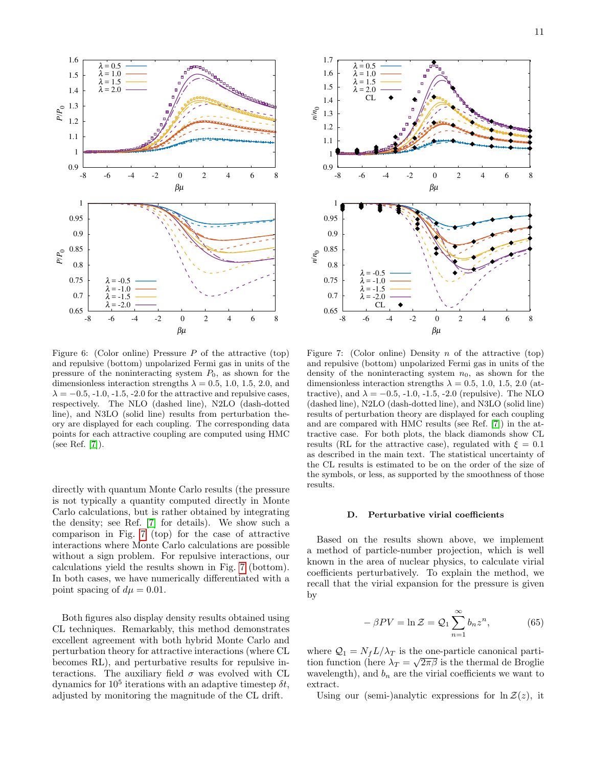

<span id="page-10-0"></span>Figure 6: (Color online) Pressure  $P$  of the attractive (top) and repulsive (bottom) unpolarized Fermi gas in units of the pressure of the noninteracting system  $P_0$ , as shown for the dimensionless interaction strengths  $\lambda = 0.5, 1.0, 1.5, 2.0,$  and  $\lambda = -0.5, -1.0, -1.5, -2.0$  for the attractive and repulsive cases, respectively. The NLO (dashed line), N2LO (dash-dotted line), and N3LO (solid line) results from perturbation theory are displayed for each coupling. The corresponding data points for each attractive coupling are computed using HMC (see Ref. [\[7\]](#page-14-5)).

directly with quantum Monte Carlo results (the pressure is not typically a quantity computed directly in Monte Carlo calculations, but is rather obtained by integrating the density; see Ref. [\[7\]](#page-14-5) for details). We show such a comparison in Fig. [7](#page-10-1) (top) for the case of attractive interactions where Monte Carlo calculations are possible without a sign problem. For repulsive interactions, our calculations yield the results shown in Fig. [7](#page-10-1) (bottom). In both cases, we have numerically differentiated with a point spacing of  $d\mu = 0.01$ .

Both figures also display density results obtained using CL techniques. Remarkably, this method demonstrates excellent agreement with both hybrid Monte Carlo and perturbation theory for attractive interactions (where CL becomes RL), and perturbative results for repulsive interactions. The auxiliary field  $\sigma$  was evolved with CL dynamics for  $10^5$  iterations with an adaptive timestep  $\delta t$ , adjusted by monitoring the magnitude of the CL drift.



<span id="page-10-1"></span>Figure 7: (Color online) Density n of the attractive (top) and repulsive (bottom) unpolarized Fermi gas in units of the density of the noninteracting system  $n_0$ , as shown for the dimensionless interaction strengths  $\lambda = 0.5, 1.0, 1.5, 2.0$  (attractive), and  $\lambda = -0.5, -1.0, -1.5, -2.0$  (repulsive). The NLO (dashed line), N2LO (dash-dotted line), and N3LO (solid line) results of perturbation theory are displayed for each coupling and are compared with HMC results (see Ref. [\[7\]](#page-14-5)) in the attractive case. For both plots, the black diamonds show CL results (RL for the attractive case), regulated with  $\xi = 0.1$ as described in the main text. The statistical uncertainty of the CL results is estimated to be on the order of the size of the symbols, or less, as supported by the smoothness of those results.

#### D. Perturbative virial coefficients

Based on the results shown above, we implement a method of particle-number projection, which is well known in the area of nuclear physics, to calculate virial coefficients perturbatively. To explain the method, we recall that the virial expansion for the pressure is given by

<span id="page-10-2"></span>
$$
-\beta PV = \ln \mathcal{Z} = \mathcal{Q}_1 \sum_{n=1}^{\infty} b_n z^n, \tag{65}
$$

where  $\mathcal{Q}_1 = N_f L / \lambda_T$  is the one-particle canonical partition function (here  $\lambda_T = \sqrt{2\pi\beta}$  is the thermal de Broglie wavelength), and  $b_n$  are the virial coefficients we want to extract.

Using our (semi-)analytic expressions for  $\ln \mathcal{Z}(z)$ , it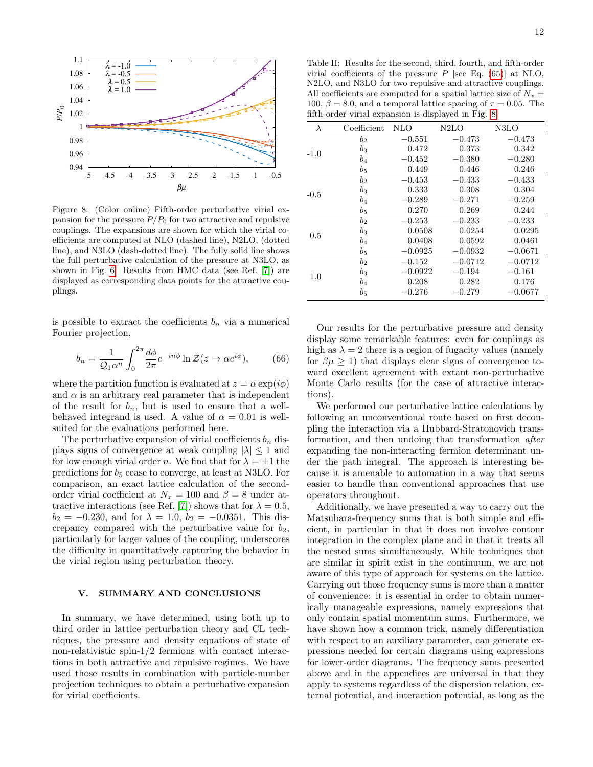

<span id="page-11-1"></span>Figure 8: (Color online) Fifth-order perturbative virial expansion for the pressure  $P/P_0$  for two attractive and repulsive couplings. The expansions are shown for which the virial coefficients are computed at NLO (dashed line), N2LO, (dotted line), and N3LO (dash-dotted line). The fully solid line shows the full perturbative calculation of the pressure at N3LO, as shown in Fig. [6.](#page-10-0) Results from HMC data (see Ref. [\[7\]](#page-14-5)) are displayed as corresponding data points for the attractive couplings.

is possible to extract the coefficients  $b_n$  via a numerical Fourier projection,

$$
b_n = \frac{1}{Q_1 \alpha^n} \int_0^{2\pi} \frac{d\phi}{2\pi} e^{-in\phi} \ln \mathcal{Z}(z \to \alpha e^{i\phi}), \tag{66}
$$

where the partition function is evaluated at  $z = \alpha \exp(i\phi)$ and  $\alpha$  is an arbitrary real parameter that is independent of the result for  $b_n$ , but is used to ensure that a wellbehaved integrand is used. A value of  $\alpha = 0.01$  is wellsuited for the evaluations performed here.

The perturbative expansion of virial coefficients  $b_n$  displays signs of convergence at weak coupling  $|\lambda| \leq 1$  and for low enough virial order n. We find that for  $\lambda = \pm 1$  the predictions for  $b_5$  cease to converge, at least at N3LO. For comparison, an exact lattice calculation of the secondorder virial coefficient at  $N_x = 100$  and  $\beta = 8$  under at-tractive interactions (see Ref. [\[7\]](#page-14-5)) shows that for  $\lambda = 0.5$ ,  $b_2 = -0.230$ , and for  $\lambda = 1.0$ ,  $b_2 = -0.0351$ . This discrepancy compared with the perturbative value for  $b_2$ , particularly for larger values of the coupling, underscores the difficulty in quantitatively capturing the behavior in the virial region using perturbation theory.

## <span id="page-11-0"></span>V. SUMMARY AND CONCLUSIONS

In summary, we have determined, using both up to third order in lattice perturbation theory and CL techniques, the pressure and density equations of state of non-relativistic spin-1/2 fermions with contact interactions in both attractive and repulsive regimes. We have used those results in combination with particle-number projection techniques to obtain a perturbative expansion for virial coefficients.

Table II: Results for the second, third, fourth, and fifth-order virial coefficients of the pressure  $P$  [see Eq. [\(65\)](#page-10-2)] at NLO, N2LO, and N3LO for two repulsive and attractive couplings. All coefficients are computed for a spatial lattice size of  $N_x =$ 100,  $\beta = 8.0$ , and a temporal lattice spacing of  $\tau = 0.05$ . The fifth-order virial expansion is displayed in Fig. [8.](#page-11-1)

| λ      | Coefficient | <b>NLO</b> | N2LO      | N3LO      |
|--------|-------------|------------|-----------|-----------|
|        | $b_2$       | $-0.551$   | $-0.473$  | $-0.473$  |
| $-1.0$ | $b_3$       | 0.472      | 0.373     | 0.342     |
|        | $b_4$       | $-0.452$   | $-0.380$  | $-0.280$  |
|        | $b_{5}$     | 0.449      | 0.446     | 0.246     |
|        | $b_2$       | $-0.453$   | $-0.433$  | $-0.433$  |
|        | $b_3$       | 0.333      | 0.308     | 0.304     |
| $-0.5$ | $b_4$       | $-0.289$   | $-0.271$  | $-0.259$  |
|        | $b_{5}$     | 0.270      | 0.269     | 0.244     |
|        | $b_2$       | $-0.253$   | $-0.233$  | $-0.233$  |
| 0.5    | $b_3$       | 0.0508     | 0.0254    | 0.0295    |
|        | $b_4$       | 0.0408     | 0.0592    | 0.0461    |
|        | $b_{5}$     | $-0.0925$  | $-0.0932$ | $-0.0671$ |
|        | $b_2$       | $-0.152$   | $-0.0712$ | $-0.0712$ |
|        | $b_3$       | $-0.0922$  | $-0.194$  | $-0.161$  |
| 1.0    | b4          | 0.208      | 0.282     | 0.176     |
|        | $b_{5}$     | $-0.276$   | $-0.279$  | $-0.0677$ |

Our results for the perturbative pressure and density display some remarkable features: even for couplings as high as  $\lambda = 2$  there is a region of fugacity values (namely for  $\beta \mu \geq 1$ ) that displays clear signs of convergence toward excellent agreement with extant non-perturbative Monte Carlo results (for the case of attractive interactions).

We performed our perturbative lattice calculations by following an unconventional route based on first decoupling the interaction via a Hubbard-Stratonovich transformation, and then undoing that transformation after expanding the non-interacting fermion determinant under the path integral. The approach is interesting because it is amenable to automation in a way that seems easier to handle than conventional approaches that use operators throughout.

Additionally, we have presented a way to carry out the Matsubara-frequency sums that is both simple and efficient, in particular in that it does not involve contour integration in the complex plane and in that it treats all the nested sums simultaneously. While techniques that are similar in spirit exist in the continuum, we are not aware of this type of approach for systems on the lattice. Carrying out those frequency sums is more than a matter of convenience: it is essential in order to obtain numerically manageable expressions, namely expressions that only contain spatial momentum sums. Furthermore, we have shown how a common trick, namely differentiation with respect to an auxiliary parameter, can generate expressions needed for certain diagrams using expressions for lower-order diagrams. The frequency sums presented above and in the appendices are universal in that they apply to systems regardless of the dispersion relation, external potential, and interaction potential, as long as the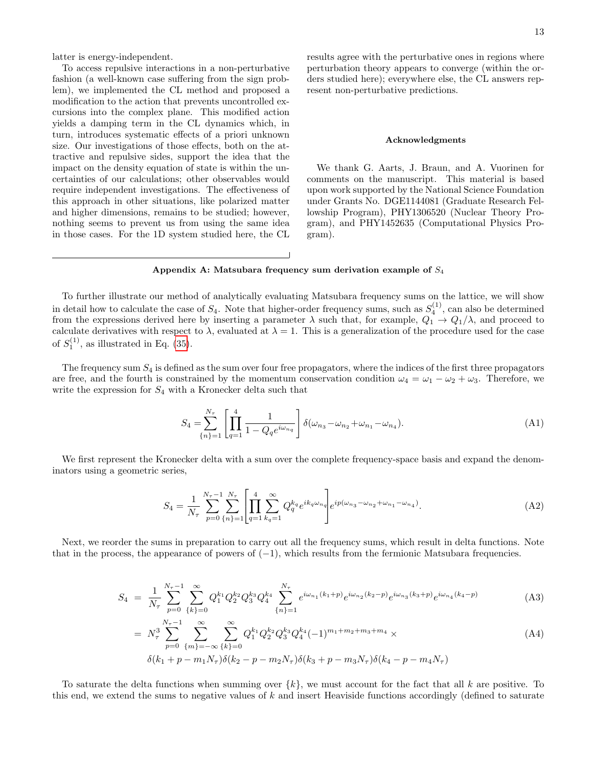latter is energy-independent.

To access repulsive interactions in a non-perturbative fashion (a well-known case suffering from the sign problem), we implemented the CL method and proposed a modification to the action that prevents uncontrolled excursions into the complex plane. This modified action yields a damping term in the CL dynamics which, in turn, introduces systematic effects of a priori unknown size. Our investigations of those effects, both on the attractive and repulsive sides, support the idea that the impact on the density equation of state is within the uncertainties of our calculations; other observables would require independent investigations. The effectiveness of this approach in other situations, like polarized matter and higher dimensions, remains to be studied; however, nothing seems to prevent us from using the same idea in those cases. For the 1D system studied here, the CL results agree with the perturbative ones in regions where perturbation theory appears to converge (within the orders studied here); everywhere else, the CL answers represent non-perturbative predictions.

#### Acknowledgments

We thank G. Aarts, J. Braun, and A. Vuorinen for comments on the manuscript. This material is based upon work supported by the National Science Foundation under Grants No. DGE1144081 (Graduate Research Fellowship Program), PHY1306520 (Nuclear Theory Program), and PHY1452635 (Computational Physics Program).

## <span id="page-12-0"></span>Appendix A: Matsubara frequency sum derivation example of  $S_4$

To further illustrate our method of analytically evaluating Matsubara frequency sums on the lattice, we will show in detail how to calculate the case of  $S_4$ . Note that higher-order frequency sums, such as  $S_4^{(1)}$ , can also be determined from the expressions derived here by inserting a parameter  $\lambda$  such that, for example,  $Q_1 \to Q_1/\lambda$ , and proceed to calculate derivatives with respect to  $\lambda$ , evaluated at  $\lambda = 1$ . This is a generalization of the procedure used for the case of  $S_1^{(1)}$ , as illustrated in Eq. [\(35\)](#page-4-3).

The frequency sum  $S_4$  is defined as the sum over four free propagators, where the indices of the first three propagators are free, and the fourth is constrained by the momentum conservation condition  $\omega_4 = \omega_1 - \omega_2 + \omega_3$ . Therefore, we write the expression for  $S_4$  with a Kronecker delta such that

$$
S_4 = \sum_{\{n\}=1}^{N_\tau} \left[ \prod_{q=1}^4 \frac{1}{1 - Q_q e^{i\omega_{n_q}}} \right] \delta(\omega_{n_3} - \omega_{n_2} + \omega_{n_1} - \omega_{n_4}). \tag{A1}
$$

We first represent the Kronecker delta with a sum over the complete frequency-space basis and expand the denominators using a geometric series,

$$
S_4 = \frac{1}{N_{\tau}} \sum_{p=0}^{N_{\tau}-1} \sum_{\{n\}=1}^{N_{\tau}} \left[ \prod_{q=1}^4 \sum_{k_q=1}^{\infty} Q_q^{k_q} e^{ik_q \omega_{n_q}} \right] e^{ip(\omega_{n_3} - \omega_{n_2} + \omega_{n_1} - \omega_{n_4})}.
$$
(A2)

Next, we reorder the sums in preparation to carry out all the frequency sums, which result in delta functions. Note that in the process, the appearance of powers of  $(-1)$ , which results from the fermionic Matsubara frequencies.

$$
S_4 = \frac{1}{N_{\tau}} \sum_{p=0}^{N_{\tau}-1} \sum_{\{k\}=0}^{\infty} Q_1^{k_1} Q_2^{k_2} Q_3^{k_3} Q_4^{k_4} \sum_{\{n\}=1}^{N_{\tau}} e^{i\omega_{n_1}(k_1+p)} e^{i\omega_{n_2}(k_2-p)} e^{i\omega_{n_3}(k_3+p)} e^{i\omega_{n_4}(k_4-p)} \tag{A3}
$$

$$
= N_{\tau}^{N_{\tau}-1} \sum_{p=0}^{\infty} \sum_{\{m\}=-\infty}^{\infty} \sum_{\{k\}=0}^{\infty} Q_{1}^{k_{1}} Q_{2}^{k_{2}} Q_{3}^{k_{3}} Q_{4}^{k_{4}} (-1)^{m_{1}+m_{2}+m_{3}+m_{4}} \times
$$
\n
$$
\delta(k_{1}+p-m_{1}N_{\tau})\delta(k_{2}-p-m_{2}N_{\tau})\delta(k_{3}+p-m_{3}N_{\tau})\delta(k_{4}-p-m_{4}N_{\tau})
$$
\n(A4)

To saturate the delta functions when summing over  $\{k\}$ , we must account for the fact that all k are positive. To this end, we extend the sums to negative values of k and insert Heaviside functions accordingly (defined to saturate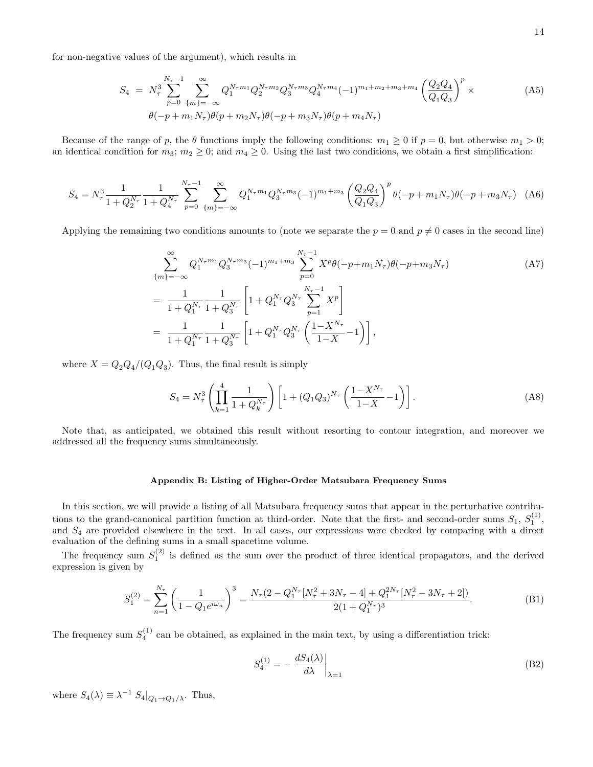for non-negative values of the argument), which results in

$$
S_4 = N_\tau^3 \sum_{p=0}^{N_\tau - 1} \sum_{\{m\}=-\infty}^{\infty} Q_1^{N_\tau m_1} Q_2^{N_\tau m_2} Q_3^{N_\tau m_3} Q_4^{N_\tau m_4} (-1)^{m_1 + m_2 + m_3 + m_4} \left(\frac{Q_2 Q_4}{Q_1 Q_3}\right)^p \times
$$
  
\n
$$
\theta(-p + m_1 N_\tau) \theta(p + m_2 N_\tau) \theta(-p + m_3 N_\tau) \theta(p + m_4 N_\tau)
$$
\n(A5)

Because of the range of p, the  $\theta$  functions imply the following conditions:  $m_1 \geq 0$  if  $p = 0$ , but otherwise  $m_1 > 0$ ; an identical condition for  $m_3$ ;  $m_2 \ge 0$ ; and  $m_4 \ge 0$ . Using the last two conditions, we obtain a first simplification:

$$
S_4 = N_\tau^3 \frac{1}{1 + Q_2^{N_\tau}} \frac{1}{1 + Q_4^{N_\tau}} \sum_{p=0}^{N_\tau - 1} \sum_{\{m\}=-\infty}^{\infty} Q_1^{N_\tau m_1} Q_3^{N_\tau m_3} (-1)^{m_1 + m_3} \left(\frac{Q_2 Q_4}{Q_1 Q_3}\right)^p \theta(-p + m_1 N_\tau) \theta(-p + m_3 N_\tau) \tag{A6}
$$

Applying the remaining two conditions amounts to (note we separate the  $p = 0$  and  $p \neq 0$  cases in the second line)

$$
\sum_{\{m\}=-\infty}^{\infty} Q_1^{N_{\tau}m_1} Q_3^{N_{\tau}m_3} (-1)^{m_1+m_3} \sum_{p=0}^{N_{\tau}-1} X^p \theta(-p+m_1N_{\tau}) \theta(-p+m_3N_{\tau})
$$
\n
$$
= \frac{1}{1+Q_1^{N_{\tau}}} \frac{1}{1+Q_3^{N_{\tau}}} \left[1+Q_1^{N_{\tau}} Q_3^{N_{\tau}} \sum_{p=1}^{N_{\tau}-1} X^p\right]
$$
\n
$$
= \frac{1}{1+Q_1^{N_{\tau}}} \frac{1}{1+Q_3^{N_{\tau}}} \left[1+Q_1^{N_{\tau}} Q_3^{N_{\tau}} \left(\frac{1-X^{N_{\tau}}}{1-X}-1\right)\right],
$$
\n(A7)

where  $X = Q_2 Q_4 / (Q_1 Q_3)$ . Thus, the final result is simply

$$
S_4 = N_\tau^3 \left( \prod_{k=1}^4 \frac{1}{1 + Q_k^{N_\tau}} \right) \left[ 1 + (Q_1 Q_3)^{N_\tau} \left( \frac{1 - X^{N_\tau}}{1 - X} - 1 \right) \right]. \tag{A8}
$$

Note that, as anticipated, we obtained this result without resorting to contour integration, and moreover we addressed all the frequency sums simultaneously.

## <span id="page-13-0"></span>Appendix B: Listing of Higher-Order Matsubara Frequency Sums

In this section, we will provide a listing of all Matsubara frequency sums that appear in the perturbative contributions to the grand-canonical partition function at third-order. Note that the first- and second-order sums  $S_1, S_1^{(1)}$ , and  $S_4$  are provided elsewhere in the text. In all cases, our expressions were checked by comparing with a direct evaluation of the defining sums in a small spacetime volume.

The frequency sum  $S_1^{(2)}$  is defined as the sum over the product of three identical propagators, and the derived expression is given by

$$
S_1^{(2)} = \sum_{n=1}^{N_\tau} \left( \frac{1}{1 - Q_1 e^{i\omega_n}} \right)^3 = \frac{N_\tau (2 - Q_1^{N_\tau} [N_\tau^2 + 3N_\tau - 4] + Q_1^{2N_\tau} [N_\tau^2 - 3N_\tau + 2])}{2(1 + Q_1^{N_\tau})^3}.
$$
(B1)

The frequency sum  $S_4^{(1)}$  can be obtained, as explained in the main text, by using a differentiation trick:

$$
S_4^{(1)} = -\left. \frac{dS_4(\lambda)}{d\lambda} \right|_{\lambda = 1} \tag{B2}
$$

where  $S_4(\lambda) \equiv \lambda^{-1} S_4|_{Q_1 \to Q_1/\lambda}$ . Thus,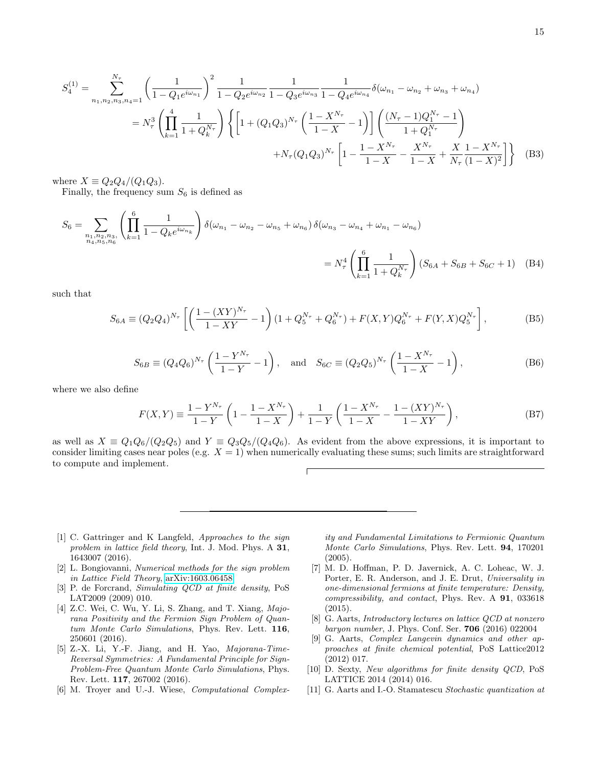$$
S_4^{(1)} = \sum_{n_1, n_2, n_3, n_4=1}^{N_{\tau}} \left( \frac{1}{1 - Q_1 e^{i\omega_{n_1}}} \right)^2 \frac{1}{1 - Q_2 e^{i\omega_{n_2}}} \frac{1}{1 - Q_3 e^{i\omega_{n_3}}} \frac{1}{1 - Q_4 e^{i\omega_{n_4}}} \delta(\omega_{n_1} - \omega_{n_2} + \omega_{n_3} + \omega_{n_4})
$$
  
\n
$$
= N_{\tau}^3 \left( \prod_{k=1}^4 \frac{1}{1 + Q_k^{N_{\tau}}} \right) \left\{ \left[ 1 + (Q_1 Q_3)^{N_{\tau}} \left( \frac{1 - X^{N_{\tau}}}{1 - X} - 1 \right) \right] \left( \frac{(N_{\tau} - 1)Q_1^{N_{\tau}} - 1}{1 + Q_1^{N_{\tau}}} \right) + N_{\tau} (Q_1 Q_3)^{N_{\tau}} \left[ 1 - \frac{1 - X^{N_{\tau}}}{1 - X} - \frac{X^{N_{\tau}}}{1 - X} + \frac{X}{N_{\tau}} \frac{1 - X^{N_{\tau}}}{(1 - X)^2} \right] \right\}
$$
(B3)

where  $X \equiv Q_2 Q_4 / (Q_1 Q_3)$ .

Finally, the frequency sum  $S_6$  is defined as

$$
S_6 = \sum_{\substack{n_1, n_2, n_3, n_6 \\ n_4, n_5, n_6}} \left( \prod_{k=1}^6 \frac{1}{1 - Q_k e^{i\omega_{n_k}}} \right) \delta(\omega_{n_1} - \omega_{n_2} - \omega_{n_5} + \omega_{n_6}) \delta(\omega_{n_3} - \omega_{n_4} + \omega_{n_1} - \omega_{n_6})
$$
  
=  $N_\tau^4 \left( \prod_{k=1}^6 \frac{1}{1 + Q_k^{N_\tau}} \right) (S_{6A} + S_{6B} + S_{6C} + 1)$  (B4)

such that

$$
S_{6A} \equiv (Q_2 Q_4)^{N_{\tau}} \left[ \left( \frac{1 - (XY)^{N_{\tau}}}{1 - XY} - 1 \right) (1 + Q_5^{N_{\tau}} + Q_6^{N_{\tau}}) + F(X, Y) Q_6^{N_{\tau}} + F(Y, X) Q_5^{N_{\tau}} \right],
$$
(B5)

$$
S_{6B} \equiv (Q_4 Q_6)^{N_{\tau}} \left( \frac{1 - Y^{N_{\tau}}}{1 - Y} - 1 \right), \text{ and } S_{6C} \equiv (Q_2 Q_5)^{N_{\tau}} \left( \frac{1 - X^{N_{\tau}}}{1 - X} - 1 \right), \tag{B6}
$$

where we also define

$$
F(X,Y) \equiv \frac{1 - Y^{N_{\tau}}}{1 - Y} \left( 1 - \frac{1 - X^{N_{\tau}}}{1 - X} \right) + \frac{1}{1 - Y} \left( \frac{1 - X^{N_{\tau}}}{1 - X} - \frac{1 - (XY)^{N_{\tau}}}{1 - XY} \right),
$$
(B7)

as well as  $X \equiv Q_1Q_6/(Q_2Q_5)$  and  $Y \equiv Q_3Q_5/(Q_4Q_6)$ . As evident from the above expressions, it is important to consider limiting cases near poles (e.g.  $X = 1$ ) when numerically evaluating these sums; such limits are straightforward to compute and implement.

- <span id="page-14-0"></span>[1] C. Gattringer and K Langfeld, Approaches to the sign problem in lattice field theory, Int. J. Mod. Phys. A 31, 1643007 (2016).
- [2] L. Bongiovanni, Numerical methods for the sign problem in Lattice Field Theory, [arXiv:1603.06458.](http://arxiv.org/abs/1603.06458)
- <span id="page-14-1"></span>[3] P. de Forcrand, Simulating QCD at finite density, PoS LAT2009 (2009) 010.
- <span id="page-14-2"></span>[4] Z.C. Wei, C. Wu, Y. Li, S. Zhang, and T. Xiang, Majorana Positivity and the Fermion Sign Problem of Quantum Monte Carlo Simulations, Phys. Rev. Lett. 116, 250601 (2016).
- <span id="page-14-3"></span>[5] Z.-X. Li, Y.-F. Jiang, and H. Yao, Majorana-Time-Reversal Symmetries: A Fundamental Principle for Sign-Problem-Free Quantum Monte Carlo Simulations, Phys. Rev. Lett. 117, 267002 (2016).
- <span id="page-14-4"></span>[6] M. Troyer and U.-J. Wiese, Computational Complex-

ity and Fundamental Limitations to Fermionic Quantum Monte Carlo Simulations, Phys. Rev. Lett. 94, 170201 (2005).

- <span id="page-14-5"></span>[7] M. D. Hoffman, P. D. Javernick, A. C. Loheac, W. J. Porter, E. R. Anderson, and J. E. Drut, Universality in one-dimensional fermions at finite temperature: Density, compressibility, and contact, Phys. Rev. A 91, 033618 (2015).
- <span id="page-14-6"></span>[8] G. Aarts, Introductory lectures on lattice QCD at nonzero baryon number, J. Phys. Conf. Ser. 706 (2016) 022004
- [9] G. Aarts, Complex Langevin dynamics and other approaches at finite chemical potential, PoS Lattice2012 (2012) 017.
- [10] D. Sexty, New algorithms for finite density QCD, PoS LATTICE 2014 (2014) 016.
- [11] G. Aarts and I.-O. Stamatescu Stochastic quantization at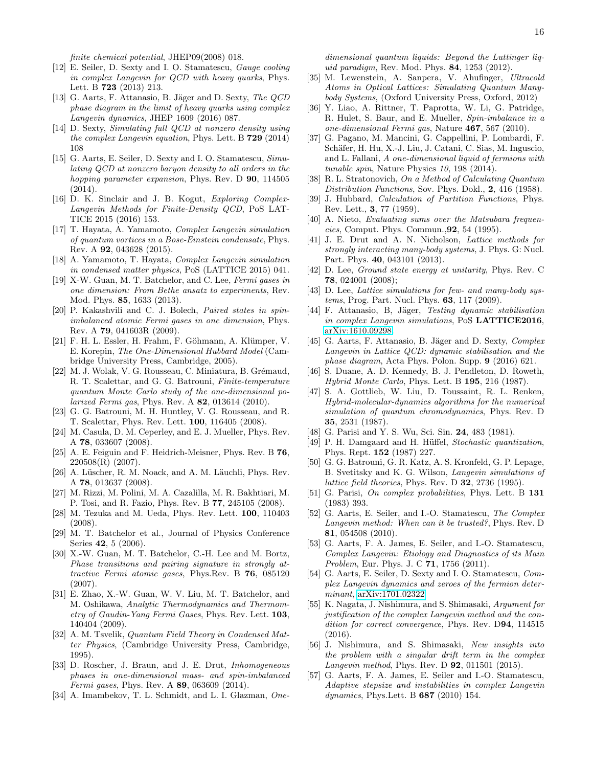finite chemical potential, JHEP09(2008) 018.

- [12] E. Seiler, D. Sexty and I. O. Stamatescu, Gauge cooling in complex Langevin for QCD with heavy quarks, Phys. Lett. B 723 (2013) 213.
- [13] G. Aarts, F. Attanasio, B. Jäger and D. Sexty, The QCD phase diagram in the limit of heavy quarks using complex Langevin dynamics, JHEP 1609 (2016) 087.
- [14] D. Sexty, Simulating full QCD at nonzero density using the complex Langevin equation, Phys. Lett. B  $729$  (2014) 108
- [15] G. Aarts, E. Seiler, D. Sexty and I. O. Stamatescu, Simulating QCD at nonzero baryon density to all orders in the hopping parameter expansion, Phys. Rev. D 90, 114505 (2014).
- <span id="page-15-0"></span>[16] D. K. Sinclair and J. B. Kogut, Exploring Complex-Langevin Methods for Finite-Density QCD, PoS LAT-TICE 2015 (2016) 153.
- <span id="page-15-1"></span>[17] T. Hayata, A. Yamamoto, Complex Langevin simulation of quantum vortices in a Bose-Einstein condensate, Phys. Rev. A 92, 043628 (2015).
- <span id="page-15-2"></span>[18] A. Yamamoto, T. Hayata, Complex Langevin simulation in condensed matter physics, PoS (LATTICE 2015) 041.
- <span id="page-15-3"></span>[19] X-W. Guan, M. T. Batchelor, and C. Lee, Fermi gases in one dimension: From Bethe ansatz to experiments, Rev. Mod. Phys. 85, 1633 (2013).
- <span id="page-15-4"></span>[20] P. Kakashvili and C. J. Bolech, Paired states in spinimbalanced atomic Fermi gases in one dimension, Phys. Rev. A 79, 041603R (2009).
- <span id="page-15-5"></span>[21] F. H. L. Essler, H. Frahm, F. Göhmann, A. Klümper, V. E. Korepin, The One-Dimensional Hubbard Model (Cambridge University Press, Cambridge, 2005).
- <span id="page-15-6"></span>[22] M. J. Wolak, V. G. Rousseau, C. Miniatura, B. Grémaud, R. T. Scalettar, and G. G. Batrouni, Finite-temperature quantum Monte Carlo study of the one-dimensional polarized Fermi gas, Phys. Rev. A 82, 013614 (2010).
- [23] G. G. Batrouni, M. H. Huntley, V. G. Rousseau, and R. T. Scalettar, Phys. Rev. Lett. 100, 116405 (2008).
- <span id="page-15-7"></span>[24] M. Casula, D. M. Ceperley, and E. J. Mueller, Phys. Rev. A 78, 033607 (2008).
- <span id="page-15-8"></span>[25] A. E. Feiguin and F. Heidrich-Meisner, Phys. Rev. B 76, 220508(R) (2007).
- [26] A. Lüscher, R. M. Noack, and A. M. Läuchli, Phys. Rev. A 78, 013637 (2008).
- [27] M. Rizzi, M. Polini, M. A. Cazalilla, M. R. Bakhtiari, M. P. Tosi, and R. Fazio, Phys. Rev. B 77, 245105 (2008).
- <span id="page-15-9"></span>[28] M. Tezuka and M. Ueda, Phys. Rev. Lett. 100, 110403 (2008).
- <span id="page-15-10"></span>[29] M. T. Batchelor et al., Journal of Physics Conference Series 42, 5 (2006).
- [30] X.-W. Guan, M. T. Batchelor, C.-H. Lee and M. Bortz, Phase transitions and pairing signature in strongly attractive Fermi atomic gases, Phys.Rev. B 76, 085120 (2007).
- <span id="page-15-11"></span>[31] E. Zhao, X.-W. Guan, W. V. Liu, M. T. Batchelor, and M. Oshikawa, Analytic Thermodynamics and Thermometry of Gaudin-Yang Fermi Gases, Phys. Rev. Lett. 103, 140404 (2009).
- <span id="page-15-12"></span>[32] A. M. Tsvelik, Quantum Field Theory in Condensed Matter Physics, (Cambridge University Press, Cambridge, 1995).
- <span id="page-15-13"></span>[33] D. Roscher, J. Braun, and J. E. Drut, *Inhomogeneous* phases in one-dimensional mass- and spin-imbalanced Fermi gases, Phys. Rev. A 89, 063609 (2014).
- <span id="page-15-14"></span>[34] A. Imambekov, T. L. Schmidt, and L. I. Glazman, One-

dimensional quantum liquids: Beyond the Luttinger liquid paradigm, Rev. Mod. Phys. 84, 1253 (2012).

- <span id="page-15-15"></span>[35] M. Lewenstein, A. Sanpera, V. Ahufinger, Ultracold Atoms in Optical Lattices: Simulating Quantum Manybody Systems, (Oxford University Press, Oxford, 2012)
- [36] Y. Liao, A. Rittner, T. Paprotta, W. Li, G. Patridge, R. Hulet, S. Baur, and E. Mueller, Spin-imbalance in a one-dimensional Fermi gas, Nature 467, 567 (2010).
- <span id="page-15-16"></span>[37] G. Pagano, M. Mancini, G. Cappellini, P. Lombardi, F. Schäfer, H. Hu, X.-J. Liu, J. Catani, C. Sias, M. Inguscio, and L. Fallani, A one-dimensional liquid of fermions with tunable spin, Nature Physics 10, 198 (2014).
- <span id="page-15-17"></span>[38] R. L. Stratonovich, On a Method of Calculating Quantum Distribution Functions, Sov. Phys. Dokl., 2, 416 (1958).
- <span id="page-15-18"></span>[39] J. Hubbard, *Calculation of Partition Functions*, Phys. Rev. Lett., 3, 77 (1959).
- <span id="page-15-19"></span>[40] A. Nieto, Evaluating sums over the Matsubara frequencies, Comput. Phys. Commun.,92, 54 (1995).
- <span id="page-15-20"></span>[41] J. E. Drut and A. N. Nicholson, Lattice methods for strongly interacting many-body systems, J. Phys. G: Nucl. Part. Phys. 40, 043101 (2013).
- <span id="page-15-21"></span>[42] D. Lee, Ground state energy at unitarity, Phys. Rev. C 78, 024001 (2008);
- <span id="page-15-22"></span>[43] D. Lee, Lattice simulations for few- and many-body systems, Prog. Part. Nucl. Phys. 63, 117 (2009).
- <span id="page-15-23"></span>[44] F. Attanasio, B. Jäger, Testing dynamic stabilisation in complex Langevin simulations, PoS LATTICE2016, [arXiv:1610.09298.](http://arxiv.org/abs/1610.09298)
- <span id="page-15-24"></span>[45] G. Aarts, F. Attanasio, B. Jäger and D. Sexty, Complex Langevin in Lattice QCD: dynamic stabilisation and the phase diagram, Acta Phys. Polon. Supp. 9 (2016) 621.
- <span id="page-15-25"></span>[46] S. Duane, A. D. Kennedy, B. J. Pendleton, D. Roweth, Hybrid Monte Carlo, Phys. Lett. B 195, 216 (1987).
- <span id="page-15-26"></span>[47] S. A. Gottlieb, W. Liu, D. Toussaint, R. L. Renken, Hybrid-molecular-dynamics algorithms for the numerical simulation of quantum chromodynamics, Phys. Rev. D 35, 2531 (1987).
- <span id="page-15-27"></span>[48] G. Parisi and Y. S. Wu, Sci. Sin. **24**, 483 (1981).
- [49] P. H. Damgaard and H. Hüffel, Stochastic quantization, Phys. Rept. 152 (1987) 227.
- <span id="page-15-28"></span>[50] G. G. Batrouni, G. R. Katz, A. S. Kronfeld, G. P. Lepage, B. Svetitsky and K. G. Wilson, Langevin simulations of *lattice field theories*, Phys. Rev. D  $32$ , 2736 (1995).
- <span id="page-15-29"></span>[51] G. Parisi, On complex probabilities, Phys. Lett. B 131 (1983) 393.
- <span id="page-15-30"></span>[52] G. Aarts, E. Seiler, and I.-O. Stamatescu, The Complex Langevin method: When can it be trusted?, Phys. Rev. D 81, 054508 (2010).
- [53] G. Aarts, F. A. James, E. Seiler, and I.-O. Stamatescu, Complex Langevin: Etiology and Diagnostics of its Main Problem, Eur. Phys. J. C 71, 1756 (2011).
- [54] G. Aarts, E. Seiler, D. Sexty and I. O. Stamatescu, Complex Langevin dynamics and zeroes of the fermion determinant, [arXiv:1701.02322](http://arxiv.org/abs/1701.02322)
- <span id="page-15-31"></span>[55] K. Nagata, J. Nishimura, and S. Shimasaki, Argument for justification of the complex Langevin method and the condition for correct convergence, Phys. Rev. D94, 114515 (2016).
- [56] J. Nishimura, and S. Shimasaki, New insights into the problem with a singular drift term in the complex Langevin method, Phys. Rev. D 92, 011501 (2015).
- <span id="page-15-32"></span>[57] G. Aarts, F. A. James, E. Seiler and I.-O. Stamatescu, Adaptive stepsize and instabilities in complex Langevin dynamics, Phys.Lett. B 687 (2010) 154.